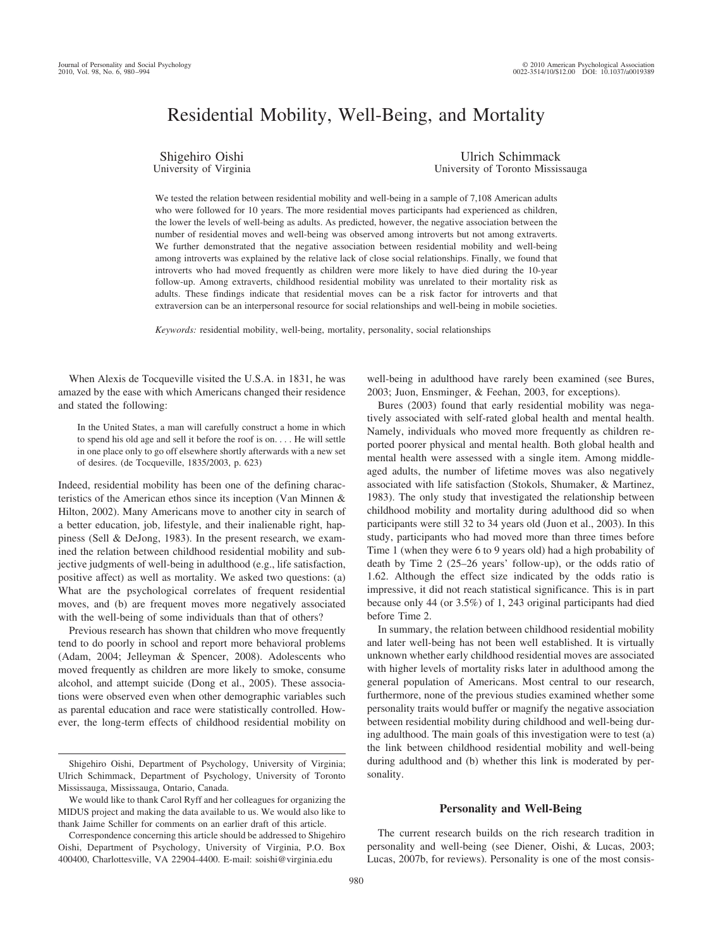# Residential Mobility, Well-Being, and Mortality

Shigehiro Oishi University of Virginia

Ulrich Schimmack University of Toronto Mississauga

We tested the relation between residential mobility and well-being in a sample of 7,108 American adults who were followed for 10 years. The more residential moves participants had experienced as children, the lower the levels of well-being as adults. As predicted, however, the negative association between the number of residential moves and well-being was observed among introverts but not among extraverts. We further demonstrated that the negative association between residential mobility and well-being among introverts was explained by the relative lack of close social relationships. Finally, we found that introverts who had moved frequently as children were more likely to have died during the 10-year follow-up. Among extraverts, childhood residential mobility was unrelated to their mortality risk as adults. These findings indicate that residential moves can be a risk factor for introverts and that extraversion can be an interpersonal resource for social relationships and well-being in mobile societies.

*Keywords:* residential mobility, well-being, mortality, personality, social relationships

When Alexis de Tocqueville visited the U.S.A. in 1831, he was amazed by the ease with which Americans changed their residence and stated the following:

In the United States, a man will carefully construct a home in which to spend his old age and sell it before the roof is on. . . . He will settle in one place only to go off elsewhere shortly afterwards with a new set of desires. (de Tocqueville, 1835/2003, p. 623)

Indeed, residential mobility has been one of the defining characteristics of the American ethos since its inception (Van Minnen & Hilton, 2002). Many Americans move to another city in search of a better education, job, lifestyle, and their inalienable right, happiness (Sell & DeJong, 1983). In the present research, we examined the relation between childhood residential mobility and subjective judgments of well-being in adulthood (e.g., life satisfaction, positive affect) as well as mortality. We asked two questions: (a) What are the psychological correlates of frequent residential moves, and (b) are frequent moves more negatively associated with the well-being of some individuals than that of others?

Previous research has shown that children who move frequently tend to do poorly in school and report more behavioral problems (Adam, 2004; Jelleyman & Spencer, 2008). Adolescents who moved frequently as children are more likely to smoke, consume alcohol, and attempt suicide (Dong et al., 2005). These associations were observed even when other demographic variables such as parental education and race were statistically controlled. However, the long-term effects of childhood residential mobility on well-being in adulthood have rarely been examined (see Bures, 2003; Juon, Ensminger, & Feehan, 2003, for exceptions).

Bures (2003) found that early residential mobility was negatively associated with self-rated global health and mental health. Namely, individuals who moved more frequently as children reported poorer physical and mental health. Both global health and mental health were assessed with a single item. Among middleaged adults, the number of lifetime moves was also negatively associated with life satisfaction (Stokols, Shumaker, & Martinez, 1983). The only study that investigated the relationship between childhood mobility and mortality during adulthood did so when participants were still 32 to 34 years old (Juon et al., 2003). In this study, participants who had moved more than three times before Time 1 (when they were 6 to 9 years old) had a high probability of death by Time 2 (25–26 years' follow-up), or the odds ratio of 1.62. Although the effect size indicated by the odds ratio is impressive, it did not reach statistical significance. This is in part because only 44 (or 3.5%) of 1, 243 original participants had died before Time 2.

In summary, the relation between childhood residential mobility and later well-being has not been well established. It is virtually unknown whether early childhood residential moves are associated with higher levels of mortality risks later in adulthood among the general population of Americans. Most central to our research, furthermore, none of the previous studies examined whether some personality traits would buffer or magnify the negative association between residential mobility during childhood and well-being during adulthood. The main goals of this investigation were to test (a) the link between childhood residential mobility and well-being during adulthood and (b) whether this link is moderated by personality.

## **Personality and Well-Being**

The current research builds on the rich research tradition in personality and well-being (see Diener, Oishi, & Lucas, 2003; Lucas, 2007b, for reviews). Personality is one of the most consis-

Shigehiro Oishi, Department of Psychology, University of Virginia; Ulrich Schimmack, Department of Psychology, University of Toronto Mississauga, Mississauga, Ontario, Canada.

We would like to thank Carol Ryff and her colleagues for organizing the MIDUS project and making the data available to us. We would also like to thank Jaime Schiller for comments on an earlier draft of this article.

Correspondence concerning this article should be addressed to Shigehiro Oishi, Department of Psychology, University of Virginia, P.O. Box 400400, Charlottesville, VA 22904-4400. E-mail: soishi@virginia.edu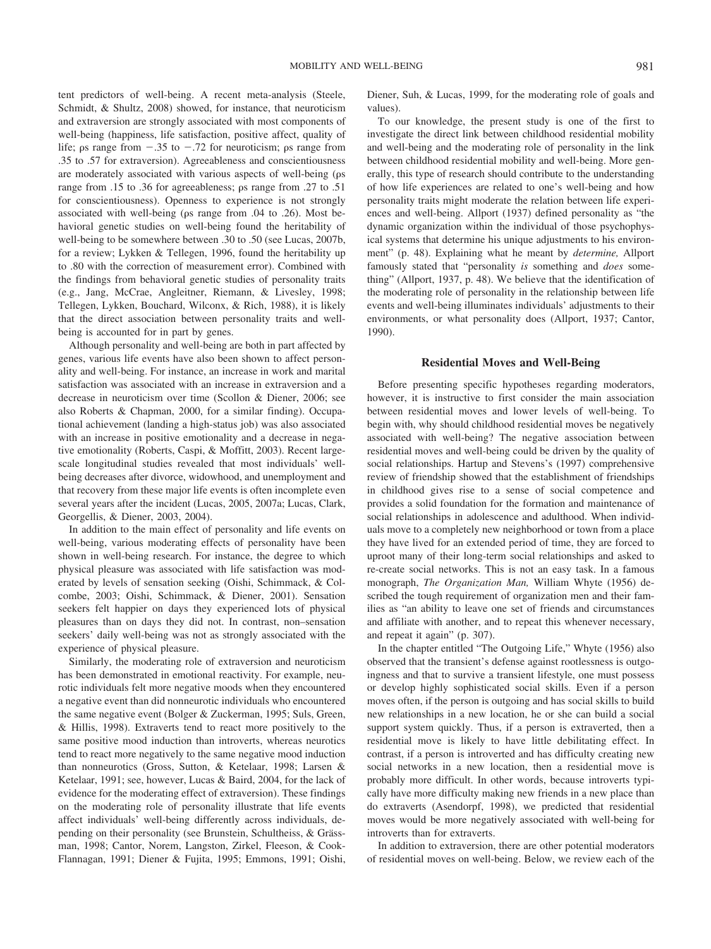tent predictors of well-being. A recent meta-analysis (Steele, Schmidt, & Shultz, 2008) showed, for instance, that neuroticism and extraversion are strongly associated with most components of well-being (happiness, life satisfaction, positive affect, quality of life; ps range from  $-.35$  to  $-.72$  for neuroticism; ps range from .35 to .57 for extraversion). Agreeableness and conscientiousness are moderately associated with various aspects of well-being (os range from .15 to .36 for agreeableness; os range from .27 to .51 for conscientiousness). Openness to experience is not strongly associated with well-being ( $\rho s$  range from .04 to .26). Most behavioral genetic studies on well-being found the heritability of well-being to be somewhere between .30 to .50 (see Lucas, 2007b, for a review; Lykken & Tellegen, 1996, found the heritability up to .80 with the correction of measurement error). Combined with the findings from behavioral genetic studies of personality traits (e.g., Jang, McCrae, Angleitner, Riemann, & Livesley, 1998; Tellegen, Lykken, Bouchard, Wilconx, & Rich, 1988), it is likely that the direct association between personality traits and wellbeing is accounted for in part by genes.

Although personality and well-being are both in part affected by genes, various life events have also been shown to affect personality and well-being. For instance, an increase in work and marital satisfaction was associated with an increase in extraversion and a decrease in neuroticism over time (Scollon & Diener, 2006; see also Roberts & Chapman, 2000, for a similar finding). Occupational achievement (landing a high-status job) was also associated with an increase in positive emotionality and a decrease in negative emotionality (Roberts, Caspi, & Moffitt, 2003). Recent largescale longitudinal studies revealed that most individuals' wellbeing decreases after divorce, widowhood, and unemployment and that recovery from these major life events is often incomplete even several years after the incident (Lucas, 2005, 2007a; Lucas, Clark, Georgellis, & Diener, 2003, 2004).

In addition to the main effect of personality and life events on well-being, various moderating effects of personality have been shown in well-being research. For instance, the degree to which physical pleasure was associated with life satisfaction was moderated by levels of sensation seeking (Oishi, Schimmack, & Colcombe, 2003; Oishi, Schimmack, & Diener, 2001). Sensation seekers felt happier on days they experienced lots of physical pleasures than on days they did not. In contrast, non–sensation seekers' daily well-being was not as strongly associated with the experience of physical pleasure.

Similarly, the moderating role of extraversion and neuroticism has been demonstrated in emotional reactivity. For example, neurotic individuals felt more negative moods when they encountered a negative event than did nonneurotic individuals who encountered the same negative event (Bolger & Zuckerman, 1995; Suls, Green, & Hillis, 1998). Extraverts tend to react more positively to the same positive mood induction than introverts, whereas neurotics tend to react more negatively to the same negative mood induction than nonneurotics (Gross, Sutton, & Ketelaar, 1998; Larsen & Ketelaar, 1991; see, however, Lucas & Baird, 2004, for the lack of evidence for the moderating effect of extraversion). These findings on the moderating role of personality illustrate that life events affect individuals' well-being differently across individuals, depending on their personality (see Brunstein, Schultheiss,  $\&$  Grässman, 1998; Cantor, Norem, Langston, Zirkel, Fleeson, & Cook-Flannagan, 1991; Diener & Fujita, 1995; Emmons, 1991; Oishi, Diener, Suh, & Lucas, 1999, for the moderating role of goals and values).

To our knowledge, the present study is one of the first to investigate the direct link between childhood residential mobility and well-being and the moderating role of personality in the link between childhood residential mobility and well-being. More generally, this type of research should contribute to the understanding of how life experiences are related to one's well-being and how personality traits might moderate the relation between life experiences and well-being. Allport (1937) defined personality as "the dynamic organization within the individual of those psychophysical systems that determine his unique adjustments to his environment" (p. 48). Explaining what he meant by *determine,* Allport famously stated that "personality *is* something and *does* something" (Allport, 1937, p. 48). We believe that the identification of the moderating role of personality in the relationship between life events and well-being illuminates individuals' adjustments to their environments, or what personality does (Allport, 1937; Cantor, 1990).

## **Residential Moves and Well-Being**

Before presenting specific hypotheses regarding moderators, however, it is instructive to first consider the main association between residential moves and lower levels of well-being. To begin with, why should childhood residential moves be negatively associated with well-being? The negative association between residential moves and well-being could be driven by the quality of social relationships. Hartup and Stevens's (1997) comprehensive review of friendship showed that the establishment of friendships in childhood gives rise to a sense of social competence and provides a solid foundation for the formation and maintenance of social relationships in adolescence and adulthood. When individuals move to a completely new neighborhood or town from a place they have lived for an extended period of time, they are forced to uproot many of their long-term social relationships and asked to re-create social networks. This is not an easy task. In a famous monograph, *The Organization Man,* William Whyte (1956) described the tough requirement of organization men and their families as "an ability to leave one set of friends and circumstances and affiliate with another, and to repeat this whenever necessary, and repeat it again" (p. 307).

In the chapter entitled "The Outgoing Life," Whyte (1956) also observed that the transient's defense against rootlessness is outgoingness and that to survive a transient lifestyle, one must possess or develop highly sophisticated social skills. Even if a person moves often, if the person is outgoing and has social skills to build new relationships in a new location, he or she can build a social support system quickly. Thus, if a person is extraverted, then a residential move is likely to have little debilitating effect. In contrast, if a person is introverted and has difficulty creating new social networks in a new location, then a residential move is probably more difficult. In other words, because introverts typically have more difficulty making new friends in a new place than do extraverts (Asendorpf, 1998), we predicted that residential moves would be more negatively associated with well-being for introverts than for extraverts.

In addition to extraversion, there are other potential moderators of residential moves on well-being. Below, we review each of the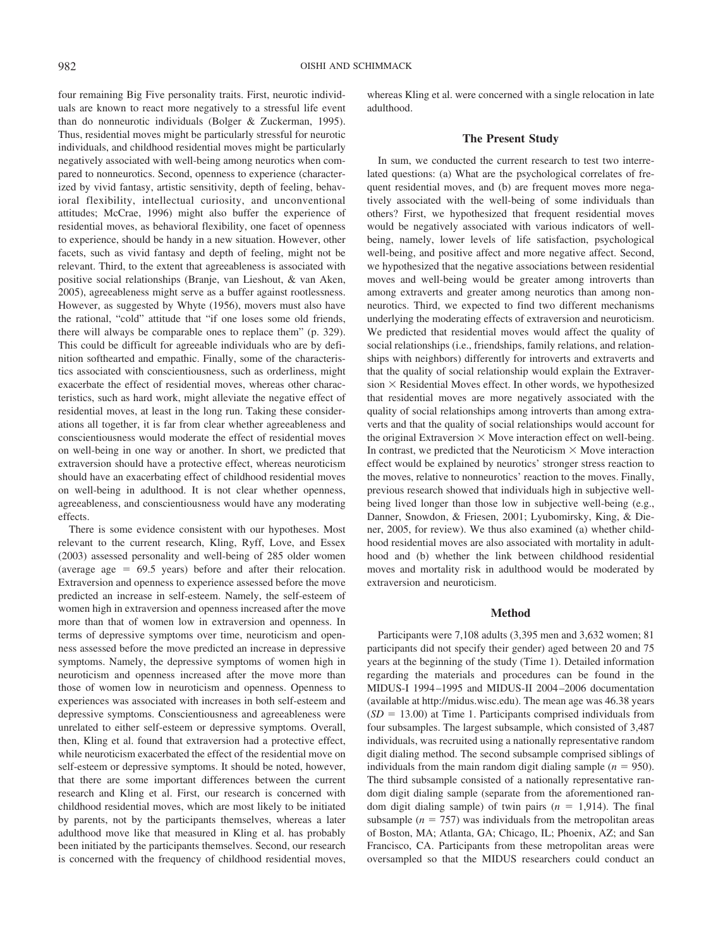four remaining Big Five personality traits. First, neurotic individuals are known to react more negatively to a stressful life event than do nonneurotic individuals (Bolger & Zuckerman, 1995). Thus, residential moves might be particularly stressful for neurotic individuals, and childhood residential moves might be particularly negatively associated with well-being among neurotics when compared to nonneurotics. Second, openness to experience (characterized by vivid fantasy, artistic sensitivity, depth of feeling, behavioral flexibility, intellectual curiosity, and unconventional attitudes; McCrae, 1996) might also buffer the experience of residential moves, as behavioral flexibility, one facet of openness to experience, should be handy in a new situation. However, other facets, such as vivid fantasy and depth of feeling, might not be relevant. Third, to the extent that agreeableness is associated with positive social relationships (Branje, van Lieshout, & van Aken, 2005), agreeableness might serve as a buffer against rootlessness. However, as suggested by Whyte (1956), movers must also have the rational, "cold" attitude that "if one loses some old friends, there will always be comparable ones to replace them" (p. 329). This could be difficult for agreeable individuals who are by definition softhearted and empathic. Finally, some of the characteristics associated with conscientiousness, such as orderliness, might exacerbate the effect of residential moves, whereas other characteristics, such as hard work, might alleviate the negative effect of residential moves, at least in the long run. Taking these considerations all together, it is far from clear whether agreeableness and conscientiousness would moderate the effect of residential moves on well-being in one way or another. In short, we predicted that extraversion should have a protective effect, whereas neuroticism should have an exacerbating effect of childhood residential moves on well-being in adulthood. It is not clear whether openness, agreeableness, and conscientiousness would have any moderating effects.

There is some evidence consistent with our hypotheses. Most relevant to the current research, Kling, Ryff, Love, and Essex (2003) assessed personality and well-being of 285 older women (average age  $= 69.5$  years) before and after their relocation. Extraversion and openness to experience assessed before the move predicted an increase in self-esteem. Namely, the self-esteem of women high in extraversion and openness increased after the move more than that of women low in extraversion and openness. In terms of depressive symptoms over time, neuroticism and openness assessed before the move predicted an increase in depressive symptoms. Namely, the depressive symptoms of women high in neuroticism and openness increased after the move more than those of women low in neuroticism and openness. Openness to experiences was associated with increases in both self-esteem and depressive symptoms. Conscientiousness and agreeableness were unrelated to either self-esteem or depressive symptoms. Overall, then, Kling et al. found that extraversion had a protective effect, while neuroticism exacerbated the effect of the residential move on self-esteem or depressive symptoms. It should be noted, however, that there are some important differences between the current research and Kling et al. First, our research is concerned with childhood residential moves, which are most likely to be initiated by parents, not by the participants themselves, whereas a later adulthood move like that measured in Kling et al. has probably been initiated by the participants themselves. Second, our research is concerned with the frequency of childhood residential moves, whereas Kling et al. were concerned with a single relocation in late adulthood.

## **The Present Study**

In sum, we conducted the current research to test two interrelated questions: (a) What are the psychological correlates of frequent residential moves, and (b) are frequent moves more negatively associated with the well-being of some individuals than others? First, we hypothesized that frequent residential moves would be negatively associated with various indicators of wellbeing, namely, lower levels of life satisfaction, psychological well-being, and positive affect and more negative affect. Second, we hypothesized that the negative associations between residential moves and well-being would be greater among introverts than among extraverts and greater among neurotics than among nonneurotics. Third, we expected to find two different mechanisms underlying the moderating effects of extraversion and neuroticism. We predicted that residential moves would affect the quality of social relationships (i.e., friendships, family relations, and relationships with neighbors) differently for introverts and extraverts and that the quality of social relationship would explain the Extraversion  $\times$  Residential Moves effect. In other words, we hypothesized that residential moves are more negatively associated with the quality of social relationships among introverts than among extraverts and that the quality of social relationships would account for the original Extraversion  $\times$  Move interaction effect on well-being. In contrast, we predicted that the Neuroticism  $\times$  Move interaction effect would be explained by neurotics' stronger stress reaction to the moves, relative to nonneurotics' reaction to the moves. Finally, previous research showed that individuals high in subjective wellbeing lived longer than those low in subjective well-being (e.g., Danner, Snowdon, & Friesen, 2001; Lyubomirsky, King, & Diener, 2005, for review). We thus also examined (a) whether childhood residential moves are also associated with mortality in adulthood and (b) whether the link between childhood residential moves and mortality risk in adulthood would be moderated by extraversion and neuroticism.

# **Method**

Participants were 7,108 adults (3,395 men and 3,632 women; 81 participants did not specify their gender) aged between 20 and 75 years at the beginning of the study (Time 1). Detailed information regarding the materials and procedures can be found in the MIDUS-I 1994 –1995 and MIDUS-II 2004 –2006 documentation (available at http://midus.wisc.edu). The mean age was 46.38 years  $(SD = 13.00)$  at Time 1. Participants comprised individuals from four subsamples. The largest subsample, which consisted of 3,487 individuals, was recruited using a nationally representative random digit dialing method. The second subsample comprised siblings of individuals from the main random digit dialing sample  $(n = 950)$ . The third subsample consisted of a nationally representative random digit dialing sample (separate from the aforementioned random digit dialing sample) of twin pairs  $(n = 1.914)$ . The final subsample  $(n = 757)$  was individuals from the metropolitan areas of Boston, MA; Atlanta, GA; Chicago, IL; Phoenix, AZ; and San Francisco, CA. Participants from these metropolitan areas were oversampled so that the MIDUS researchers could conduct an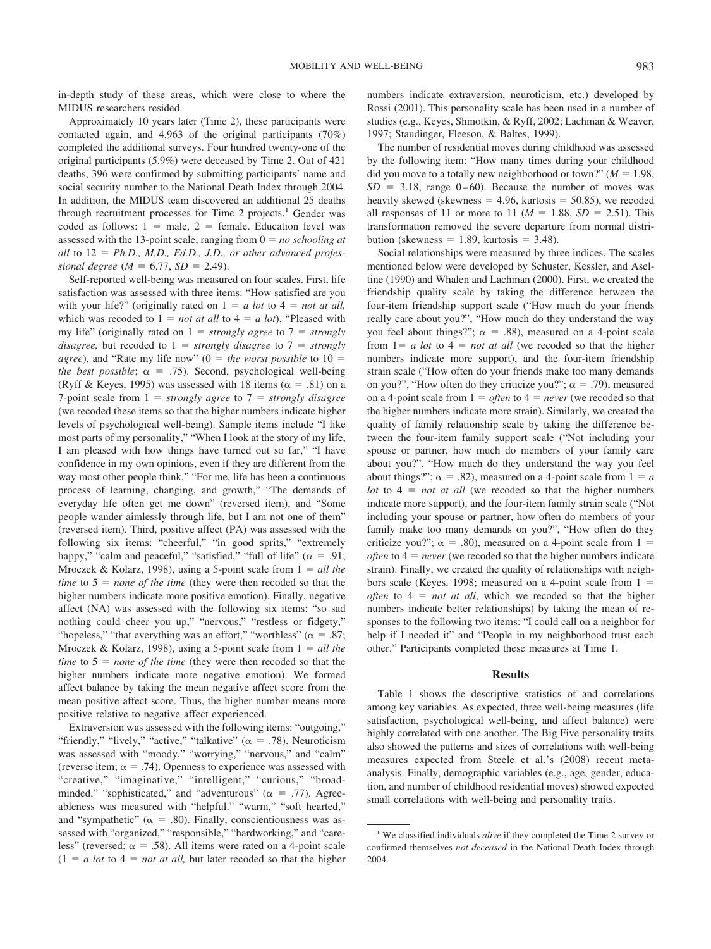in-depth study of these areas, which were close to where the MIDUS researchers resided.

Approximately 10 years later (Time 2), these participants were contacted again, and 4,963 of the original participants (70%) completed the additional surveys. Four hundred twenty-one of the original participants (5.9%) were deceased by Time 2. Out of 421 deaths, 396 were confirmed by submitting participants' name and social security number to the National Death Index through 2004. In addition, the MIDUS team discovered an additional 25 deaths through recruitment processes for Time 2 projects.<sup>1</sup> Gender was coded as follows:  $1 =$  male,  $2 =$  female. Education level was assessed with the 13-point scale, ranging from  $0 = no$  *schooling at* all to  $12 = Ph.D., M.D., Ed.D., J.D.,$  or other advanced profes*sional degree*  $(M = 6.77, SD = 2.49)$ .

Self-reported well-being was measured on four scales. First, life satisfaction was assessed with three items: "How satisfied are you with your life?" (originally rated on  $1 = a$  *lot* to  $4 = not at all$ , which was recoded to  $1 = not at all$  to  $4 = a lot$ , "Pleased with my life" (originally rated on  $1 =$  *strongly agree* to  $7 =$  *strongly disagree,* but recoded to  $1 =$  *strongly disagree* to  $7 =$  *strongly agree*), and "Rate my life now" ( $0 =$  *the worst possible* to  $10 =$ *the best possible*;  $\alpha = .75$ ). Second, psychological well-being (Ryff & Keyes, 1995) was assessed with 18 items ( $\alpha = .81$ ) on a 7-point scale from  $1 =$  *strongly agree* to  $7 =$  *strongly disagree* (we recoded these items so that the higher numbers indicate higher levels of psychological well-being). Sample items include "I like most parts of my personality," "When I look at the story of my life, I am pleased with how things have turned out so far," "I have confidence in my own opinions, even if they are different from the way most other people think," "For me, life has been a continuous process of learning, changing, and growth," "The demands of everyday life often get me down" (reversed item), and "Some people wander aimlessly through life, but I am not one of them" (reversed item). Third, positive affect (PA) was assessed with the following six items: "cheerful," "in good sprits," "extremely happy," "calm and peaceful," "satisfied," "full of life" ( $\alpha$  = .91; Mroczek & Kolarz, 1998), using a 5-point scale from 1 *all the time* to  $5 = none$  *of the time* (they were then recoded so that the higher numbers indicate more positive emotion). Finally, negative affect (NA) was assessed with the following six items: "so sad nothing could cheer you up," "nervous," "restless or fidgety," "hopeless," "that everything was an effort," "worthless" ( $\alpha = .87$ ; Mroczek & Kolarz, 1998), using a 5-point scale from 1 *all the time* to  $5 = none$  *of the time* (they were then recoded so that the higher numbers indicate more negative emotion). We formed affect balance by taking the mean negative affect score from the mean positive affect score. Thus, the higher number means more positive relative to negative affect experienced.

Extraversion was assessed with the following items: "outgoing," "friendly," "lively," "active," "talkative" ( $\alpha$  = .78). Neuroticism was assessed with "moody," "worrying," "nervous," and "calm" (reverse item;  $\alpha = .74$ ). Openness to experience was assessed with "creative," "imaginative," "intelligent," "curious," "broadminded," "sophisticated," and "adventurous" ( $\alpha$  = .77). Agreeableness was measured with "helpful." "warm," "soft hearted," and "sympathetic" ( $\alpha$  = .80). Finally, conscientiousness was assessed with "organized," "responsible," "hardworking," and "careless" (reversed;  $\alpha = .58$ ). All items were rated on a 4-point scale  $(1 = a \text{ lot to } 4 = \text{not at all}, \text{ but later recorded so that the higher$ 

numbers indicate extraversion, neuroticism, etc.) developed by Rossi (2001). This personality scale has been used in a number of studies (e.g., Keyes, Shmotkin, & Ryff, 2002; Lachman & Weaver, 1997; Staudinger, Fleeson, & Baltes, 1999).

The number of residential moves during childhood was assessed by the following item: "How many times during your childhood did you move to a totally new neighborhood or town?"  $(M = 1.98$ ,  $SD = 3.18$ , range  $0 - 60$ ). Because the number of moves was heavily skewed (skewness  $= 4.96$ , kurtosis  $= 50.85$ ), we recoded all responses of 11 or more to 11 ( $M = 1.88$ ,  $SD = 2.51$ ). This transformation removed the severe departure from normal distribution (skewness  $= 1.89$ , kurtosis  $= 3.48$ ).

Social relationships were measured by three indices. The scales mentioned below were developed by Schuster, Kessler, and Aseltine (1990) and Whalen and Lachman (2000). First, we created the friendship quality scale by taking the difference between the four-item friendship support scale ("How much do your friends really care about you?", "How much do they understand the way you feel about things?";  $\alpha = .88$ ), measured on a 4-point scale from  $1 = a$  *lot* to  $4 = not$  *at all* (we recoded so that the higher numbers indicate more support), and the four-item friendship strain scale ("How often do your friends make too many demands on you?", "How often do they criticize you?";  $\alpha = .79$ ), measured on a 4-point scale from  $1 =$  *often* to  $4 =$  *never* (we recoded so that the higher numbers indicate more strain). Similarly, we created the quality of family relationship scale by taking the difference between the four-item family support scale ("Not including your spouse or partner, how much do members of your family care about you?", "How much do they understand the way you feel about things?";  $\alpha = .82$ ), measured on a 4-point scale from  $1 = a$ *lot* to  $4 = not at all$  (we recoded so that the higher numbers indicate more support), and the four-item family strain scale ("Not including your spouse or partner, how often do members of your family make too many demands on you?", "How often do they criticize you?";  $\alpha = .80$ ), measured on a 4-point scale from 1 = *often* to  $4 = never$  (we recoded so that the higher numbers indicate strain). Finally, we created the quality of relationships with neighbors scale (Keyes, 1998; measured on a 4-point scale from  $1 =$ *often* to  $4 = not at all$ , which we recoded so that the higher numbers indicate better relationships) by taking the mean of responses to the following two items: "I could call on a neighbor for help if I needed it" and "People in my neighborhood trust each other." Participants completed these measures at Time 1.

# **Results**

Table 1 shows the descriptive statistics of and correlations among key variables. As expected, three well-being measures (life satisfaction, psychological well-being, and affect balance) were highly correlated with one another. The Big Five personality traits also showed the patterns and sizes of correlations with well-being measures expected from Steele et al.'s (2008) recent metaanalysis. Finally, demographic variables (e.g., age, gender, education, and number of childhood residential moves) showed expected small correlations with well-being and personality traits.

<sup>&</sup>lt;sup>1</sup> We classified individuals *alive* if they completed the Time 2 survey or confirmed themselves *not deceased* in the National Death Index through 2004.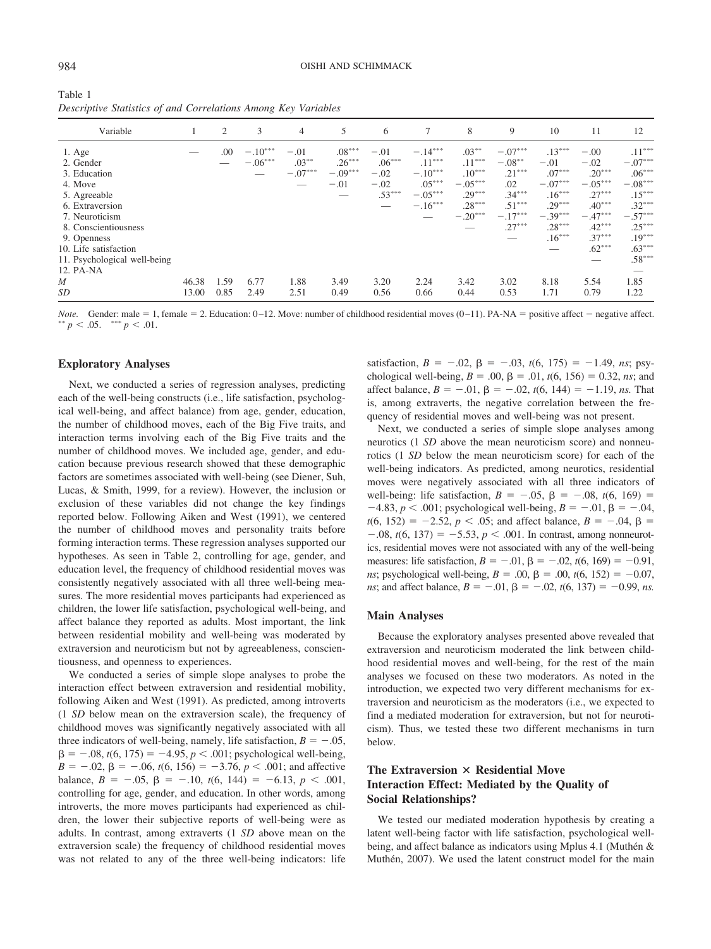| Table 1 |  |                                                                |  |  |
|---------|--|----------------------------------------------------------------|--|--|
|         |  | Descriptive Statistics of and Correlations Among Key Variables |  |  |

| Variable                     |       | 2    | 3         | $\overline{4}$ | 5         | 6        | 7         | 8                    | 9         | 10         | 11        | 12        |
|------------------------------|-------|------|-----------|----------------|-----------|----------|-----------|----------------------|-----------|------------|-----------|-----------|
| $1. \text{Age}$              |       | .00  | $-.10***$ | $-.01$         | $.08***$  | $-.01$   | $-.14***$ | $.03***$             | $-.07***$ | $.13***$   | $-.00$    | $.11***$  |
| 2. Gender                    |       |      | $-.06***$ | $.03***$       | $.26***$  | $.06***$ | $.11***$  | $.11***$             | $-.08***$ | $-.01$     | $-.02$    | $-.07***$ |
| 3. Education                 |       |      |           | $-.07***$      | $-.09***$ | $-.02$   | $-.10***$ | $.10^{\ast\ast\ast}$ | $.21***$  | $.07***$   | $.20***$  | $.06***$  |
| 4. Move                      |       |      |           |                | $-.01$    | $-.02$   | $.05***$  | $-.05***$            | .02       | $-.07***$  | $-.05***$ | $-.08***$ |
| 5. Agreeable                 |       |      |           |                |           | $.53***$ | $-.05***$ | $.29***$             | $.34***$  | $.16***$   | $.27***$  | $.15***$  |
| 6. Extraversion              |       |      |           |                |           |          | $-.16***$ | $.28***$             | $.51***$  | $.29***$   | $.40***$  | $.32***$  |
| 7. Neuroticism               |       |      |           |                |           |          |           | $-.20***$            | $-.17***$ | $-0.39***$ | $-.47***$ | $-.57***$ |
| 8. Conscientiousness         |       |      |           |                |           |          |           |                      | $.27***$  | $.28***$   | $.42***$  | $.25***$  |
| 9. Openness                  |       |      |           |                |           |          |           |                      |           | $.16***$   | $.37***$  | $.19***$  |
| 10. Life satisfaction        |       |      |           |                |           |          |           |                      |           |            | $.62***$  | $.63***$  |
| 11. Psychological well-being |       |      |           |                |           |          |           |                      |           |            |           | $.58***$  |
| 12. PA-NA                    |       |      |           |                |           |          |           |                      |           |            |           |           |
| M                            | 46.38 | 1.59 | 6.77      | 1.88           | 3.49      | 3.20     | 2.24      | 3.42                 | 3.02      | 8.18       | 5.54      | 1.85      |
| SD                           | 13.00 | 0.85 | 2.49      | 2.51           | 0.49      | 0.56     | 0.66      | 0.44                 | 0.53      | 1.71       | 0.79      | 1.22      |
|                              |       |      |           |                |           |          |           |                      |           |            |           |           |

*Note.* Gender: male = 1, female = 2. Education: 0–12. Move: number of childhood residential moves (0–11). PA-NA = positive affect - negative affect.  $* p < .05$ .  $* p < .01$ .

# **Exploratory Analyses**

Next, we conducted a series of regression analyses, predicting each of the well-being constructs (i.e., life satisfaction, psychological well-being, and affect balance) from age, gender, education, the number of childhood moves, each of the Big Five traits, and interaction terms involving each of the Big Five traits and the number of childhood moves. We included age, gender, and education because previous research showed that these demographic factors are sometimes associated with well-being (see Diener, Suh, Lucas, & Smith, 1999, for a review). However, the inclusion or exclusion of these variables did not change the key findings reported below. Following Aiken and West (1991), we centered the number of childhood moves and personality traits before forming interaction terms. These regression analyses supported our hypotheses. As seen in Table 2, controlling for age, gender, and education level, the frequency of childhood residential moves was consistently negatively associated with all three well-being measures. The more residential moves participants had experienced as children, the lower life satisfaction, psychological well-being, and affect balance they reported as adults. Most important, the link between residential mobility and well-being was moderated by extraversion and neuroticism but not by agreeableness, conscientiousness, and openness to experiences.

We conducted a series of simple slope analyses to probe the interaction effect between extraversion and residential mobility, following Aiken and West (1991). As predicted, among introverts (1 *SD* below mean on the extraversion scale), the frequency of childhood moves was significantly negatively associated with all three indicators of well-being, namely, life satisfaction,  $B = -.05$ ,  $\beta = -.08, t(6, 175) = -4.95, p < .001$ ; psychological well-being,  $B = -.02$ ,  $\beta = -.06$ ,  $t(6, 156) = -3.76$ ,  $p < .001$ ; and affective balance,  $B = -.05$ ,  $\beta = -.10$ ,  $t(6, 144) = -6.13$ ,  $p < .001$ , controlling for age, gender, and education. In other words, among introverts, the more moves participants had experienced as children, the lower their subjective reports of well-being were as adults. In contrast, among extraverts (1 *SD* above mean on the extraversion scale) the frequency of childhood residential moves was not related to any of the three well-being indicators: life

satisfaction,  $B = -.02$ ,  $\beta = -.03$ ,  $t(6, 175) = -1.49$ , *ns*; psychological well-being,  $B = .00$ ,  $\beta = .01$ ,  $t(6, 156) = 0.32$ , *ns*; and affect balance,  $B = -.01$ ,  $\beta = -.02$ ,  $t(6, 144) = -1.19$ , *ns.* That is, among extraverts, the negative correlation between the frequency of residential moves and well-being was not present.

Next, we conducted a series of simple slope analyses among neurotics (1 *SD* above the mean neuroticism score) and nonneurotics (1 *SD* below the mean neuroticism score) for each of the well-being indicators. As predicted, among neurotics, residential moves were negatively associated with all three indicators of well-being: life satisfaction,  $B = -.05$ ,  $\beta = -.08$ ,  $t(6, 169) =$  $-4.83, p < .001$ ; psychological well-being,  $B = -.01, \beta = -.04$ ,  $t(6, 152) = -2.52, p < .05$ ; and affect balance,  $B = -.04, \beta =$  $-0.08$ ,  $t(6, 137) = -5.53$ ,  $p < 0.001$ . In contrast, among nonneurotics, residential moves were not associated with any of the well-being measures: life satisfaction,  $B = -.01$ ,  $\beta = -.02$ ,  $t(6, 169) = -0.91$ , *ns*; psychological well-being,  $B = .00$ ,  $\beta = .00$ ,  $t(6, 152) = -0.07$ ,  $ns$ ; and affect balance,  $B = -.01$ ,  $\beta = -.02$ ,  $t(6, 137) = -0.99$ , *ns.* 

#### **Main Analyses**

Because the exploratory analyses presented above revealed that extraversion and neuroticism moderated the link between childhood residential moves and well-being, for the rest of the main analyses we focused on these two moderators. As noted in the introduction, we expected two very different mechanisms for extraversion and neuroticism as the moderators (i.e., we expected to find a mediated moderation for extraversion, but not for neuroticism). Thus, we tested these two different mechanisms in turn below.

# The Extraversion  $\times$  Residential Move **Interaction Effect: Mediated by the Quality of Social Relationships?**

We tested our mediated moderation hypothesis by creating a latent well-being factor with life satisfaction, psychological wellbeing, and affect balance as indicators using Mplus 4.1 (Muthén  $\&$ Muthén, 2007). We used the latent construct model for the main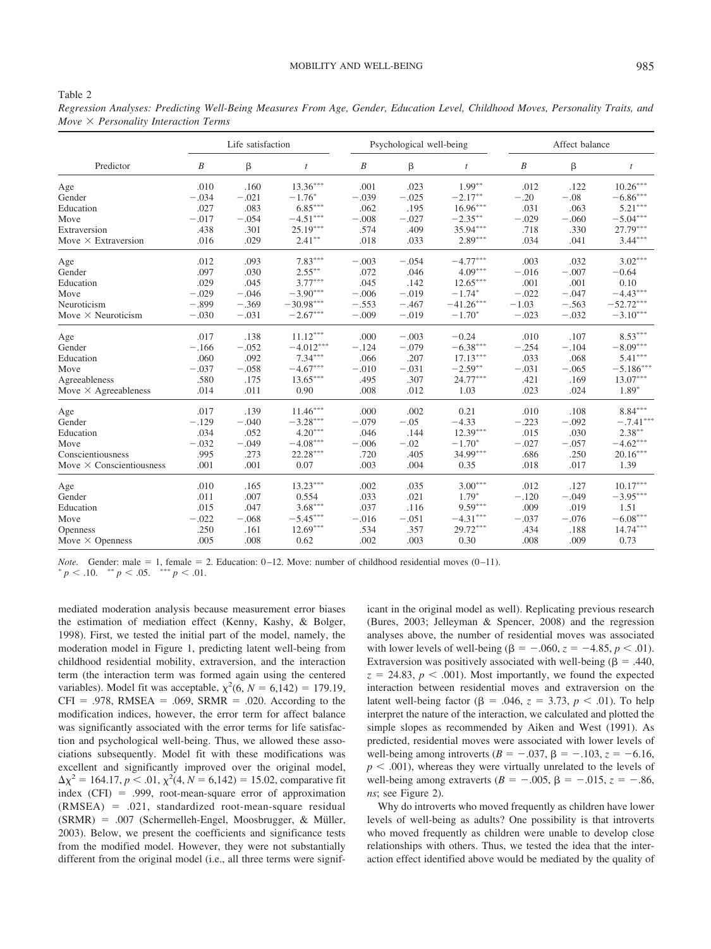#### Table 2

|                                 |         | Life satisfaction |                  | Psychological well-being |         |                |                  | Affect balance |                  |  |
|---------------------------------|---------|-------------------|------------------|--------------------------|---------|----------------|------------------|----------------|------------------|--|
| Predictor                       | B       | β                 | $\boldsymbol{t}$ | B                        | β       | $\mathfrak{t}$ | $\boldsymbol{B}$ | β              | $\boldsymbol{t}$ |  |
| Age                             | .010    | .160              | $13.36***$       | .001                     | .023    | $1.99***$      | .012             | .122           | $10.26***$       |  |
| Gender                          | $-.034$ | $-.021$           | $-1.76^*$        | $-.039$                  | $-.025$ | $-2.17***$     | $-.20$           | $-.08$         | $-6.86***$       |  |
| Education                       | .027    | .083              | $6.85***$        | .062                     | .195    | $16.96***$     | .031             | .063           | $5.21***$        |  |
| Move                            | $-.017$ | $-.054$           | $-4.51***$       | $-.008$                  | $-.027$ | $-2.35***$     | $-.029$          | $-.060$        | $-5.04***$       |  |
| Extraversion                    | .438    | .301              | $25.19***$       | .574                     | .409    | $35.94***$     | .718             | .330           | $27.79***$       |  |
| Move $\times$ Extraversion      | .016    | .029              | $2.41***$        | .018                     | .033    | $2.89***$      | .034             | .041           | $3.44***$        |  |
| Age                             | .012    | .093              | $7.83***$        | $-.003$                  | $-.054$ | $-4.77***$     | .003             | .032           | $3.02***$        |  |
| Gender                          | .097    | .030              | $2.55***$        | .072                     | .046    | $4.09***$      | $-.016$          | $-.007$        | $-0.64$          |  |
| Education                       | .029    | .045              | $3.77***$        | .045                     | .142    | $12.65***$     | .001             | .001           | 0.10             |  |
| Move                            | $-.029$ | $-.046$           | $-3.90***$       | $-.006$                  | $-.019$ | $-1.74*$       | $-.022$          | $-.047$        | $-4.43***$       |  |
| Neuroticism                     | $-.899$ | $-.369$           | $-30.98***$      | $-.553$                  | $-.467$ | $-41.26***$    | $-1.03$          | $-.563$        | $-52.72***$      |  |
| Move $\times$ Neuroticism       | $-.030$ | $-.031$           | $-2.67***$       | $-.009$                  | $-.019$ | $-1.70*$       | $-.023$          | $-.032$        | $-3.10***$       |  |
| Age                             | .017    | .138              | $11.12***$       | .000                     | $-.003$ | $-0.24$        | .010             | .107           | $8.53***$        |  |
| Gender                          | $-.166$ | $-.052$           | $-4.012***$      | $-.124$                  | $-.079$ | $-6.38***$     | $-.254$          | $-.104$        | $-8.09***$       |  |
| Education                       | .060    | .092              | $7.34***$        | .066                     | .207    | $17.13***$     | .033             | .068           | $5.41***$        |  |
| Move                            | $-.037$ | $-.058$           | $-4.67***$       | $-.010$                  | $-.031$ | $-2.59**$      | $-.031$          | $-.065$        | $-5.186***$      |  |
| Agreeableness                   | .580    | .175              | $13.65***$       | .495                     | .307    | $24.77***$     | .421             | .169           | $13.07***$       |  |
| Move $\times$ Agreeableness     | .014    | .011              | 0.90             | .008                     | .012    | 1.03           | .023             | .024           | 1.89*            |  |
| Age                             | .017    | .139              | $11.46***$       | .000                     | .002    | 0.21           | .010             | .108           | $8.84***$        |  |
| Gender                          | $-.129$ | $-.040$           | $-3.28***$       | $-.079$                  | $-.05$  | $-4.33$        | $-.223$          | $-.092$        | $-.7.41***$      |  |
| Education                       | .034    | .052              | $4.20***$        | .046                     | .144    | $12.39***$     | .015             | .030           | $2.38***$        |  |
| Move                            | $-.032$ | $-.049$           | $-4.08***$       | $-.006$                  | $-.02$  | $-1.70^*$      | $-.027$          | $-.057$        | $-4.62***$       |  |
| Conscientiousness               | .995    | .273              | $22.28***$       | .720                     | .405    | $34.99***$     | .686             | .250           | $20.16***$       |  |
| Move $\times$ Conscientiousness | .001    | .001              | 0.07             | .003                     | .004    | 0.35           | .018             | .017           | 1.39             |  |
| Age                             | .010    | .165              | $13.23***$       | .002                     | .035    | $3.00***$      | .012             | .127           | $10.17***$       |  |
| Gender                          | .011    | .007              | 0.554            | .033                     | .021    | $1.79*$        | $-.120$          | $-.049$        | $-3.95***$       |  |
| Education                       | .015    | .047              | $3.68***$        | .037                     | .116    | $9.59***$      | .009             | .019           | 1.51             |  |
| Move                            | $-.022$ | $-.068$           | $-5.45***$       | $-.016$                  | $-.051$ | $-4.31***$     | $-.037$          | $-.076$        | $-6.08***$       |  |
| Openness                        | .250    | .161              | $12.69***$       | .534                     | .357    | $29.72***$     | .434             | .188           | $14.74***$       |  |
| Move $\times$ Openness          | .005    | .008              | 0.62             | .002                     | .003    | 0.30           | .008             | .009           | 0.73             |  |

*Regression Analyses: Predicting Well-Being Measures From Age, Gender, Education Level, Childhood Moves, Personality Traits, and Move Personality Interaction Terms*

*Note.* Gender: male = 1, female = 2. Education: 0–12. Move: number of childhood residential moves (0–11).  $p < .10$ .  $p < .05$ .  $p < .01$ .

mediated moderation analysis because measurement error biases the estimation of mediation effect (Kenny, Kashy, & Bolger, 1998). First, we tested the initial part of the model, namely, the moderation model in Figure 1, predicting latent well-being from childhood residential mobility, extraversion, and the interaction term (the interaction term was formed again using the centered variables). Model fit was acceptable,  $\chi^2(6, N = 6,142) = 179.19$ ,  $CFI = .978$ , RMSEA = .069, SRMR = .020. According to the modification indices, however, the error term for affect balance was significantly associated with the error terms for life satisfaction and psychological well-being. Thus, we allowed these associations subsequently. Model fit with these modifications was excellent and significantly improved over the original model,  $\Delta \chi^2 = 164.17, p < .01, \chi^2(4, N = 6, 142) = 15.02$ , comparative fit index  $(CFI) = .999$ , root-mean-square error of approximation  $(RMSEA) = .021$ , standardized root-mean-square residual  $(SRMR) = .007$  (Schermelleh-Engel, Moosbrugger, & Müller, 2003). Below, we present the coefficients and significance tests from the modified model. However, they were not substantially different from the original model (i.e., all three terms were significant in the original model as well). Replicating previous research (Bures, 2003; Jelleyman & Spencer, 2008) and the regression analyses above, the number of residential moves was associated with lower levels of well-being ( $\beta = -.060$ ,  $z = -4.85$ ,  $p < .01$ ). Extraversion was positively associated with well-being ( $\beta = .440$ ,  $z = 24.83$ ,  $p < .001$ ). Most importantly, we found the expected interaction between residential moves and extraversion on the latent well-being factor ( $\beta$  = .046,  $z$  = 3.73,  $p$  < .01). To help interpret the nature of the interaction, we calculated and plotted the simple slopes as recommended by Aiken and West (1991). As predicted, residential moves were associated with lower levels of well-being among introverts ( $B = -.037$ ,  $\beta = -.103$ ,  $z = -6.16$ ,  $p < .001$ ), whereas they were virtually unrelated to the levels of well-being among extraverts ( $B = -.005$ ,  $\beta = -.015$ ,  $z = -.86$ , *ns*; see Figure 2).

Why do introverts who moved frequently as children have lower levels of well-being as adults? One possibility is that introverts who moved frequently as children were unable to develop close relationships with others. Thus, we tested the idea that the interaction effect identified above would be mediated by the quality of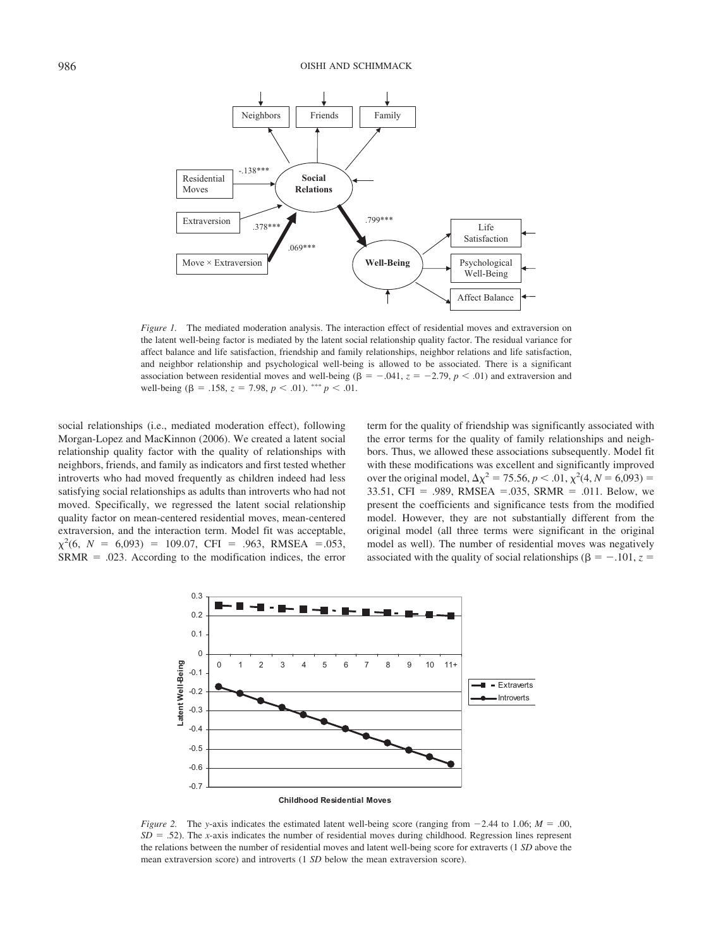

*Figure 1.* The mediated moderation analysis. The interaction effect of residential moves and extraversion on the latent well-being factor is mediated by the latent social relationship quality factor. The residual variance for affect balance and life satisfaction, friendship and family relationships, neighbor relations and life satisfaction, and neighbor relationship and psychological well-being is allowed to be associated. There is a significant association between residential moves and well-being ( $\beta = -.041$ ,  $z = -2.79$ ,  $p < .01$ ) and extraversion and well-being ( $\beta = .158$ ,  $z = 7.98$ ,  $p < .01$ ). \*\*\*  $p < .01$ .

social relationships (i.e., mediated moderation effect), following Morgan-Lopez and MacKinnon (2006). We created a latent social relationship quality factor with the quality of relationships with neighbors, friends, and family as indicators and first tested whether introverts who had moved frequently as children indeed had less satisfying social relationships as adults than introverts who had not moved. Specifically, we regressed the latent social relationship quality factor on mean-centered residential moves, mean-centered extraversion, and the interaction term. Model fit was acceptable,  $\chi^2$ (6, *N* = 6,093) = 109.07, CFI = .963, RMSEA = .053,  $SRMR = .023$ . According to the modification indices, the error term for the quality of friendship was significantly associated with the error terms for the quality of family relationships and neighbors. Thus, we allowed these associations subsequently. Model fit with these modifications was excellent and significantly improved over the original model,  $\Delta \chi^2 = 75.56$ ,  $p < .01$ ,  $\chi^2(4, N = 6,093) =$ 33.51, CFI = .989, RMSEA = .035, SRMR = .011. Below, we present the coefficients and significance tests from the modified model. However, they are not substantially different from the original model (all three terms were significant in the original model as well). The number of residential moves was negatively associated with the quality of social relationships ( $\beta = -.101$ ,  $z =$ 



*Figure 2.* The *y*-axis indicates the estimated latent well-being score (ranging from  $-2.44$  to 1.06;  $M = .00$ ,  $SD = .52$ ). The *x*-axis indicates the number of residential moves during childhood. Regression lines represent the relations between the number of residential moves and latent well-being score for extraverts (1 *SD* above the mean extraversion score) and introverts (1 *SD* below the mean extraversion score).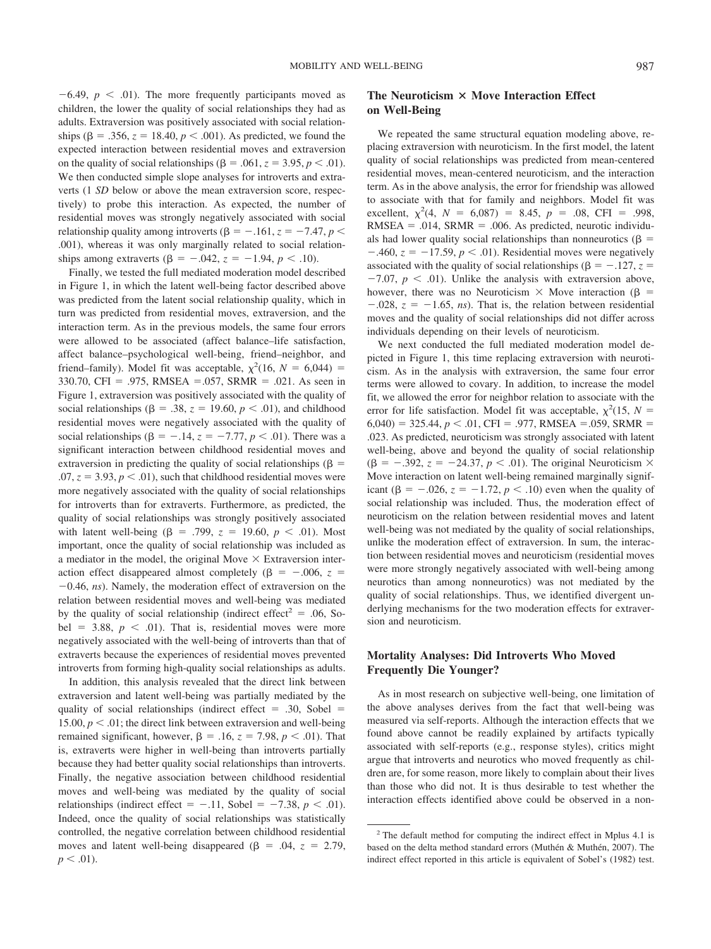$-6.49$ ,  $p < .01$ ). The more frequently participants moved as children, the lower the quality of social relationships they had as adults. Extraversion was positively associated with social relationships ( $\beta = .356$ ,  $z = 18.40$ ,  $p < .001$ ). As predicted, we found the expected interaction between residential moves and extraversion on the quality of social relationships ( $\beta = .061$ ,  $z = 3.95$ ,  $p < .01$ ). We then conducted simple slope analyses for introverts and extraverts (1 *SD* below or above the mean extraversion score, respectively) to probe this interaction. As expected, the number of residential moves was strongly negatively associated with social relationship quality among introverts ( $\beta = -.161$ ,  $z = -7.47$ ,  $p <$ .001), whereas it was only marginally related to social relationships among extraverts ( $\beta = -.042$ ,  $z = -1.94$ ,  $p < .10$ ).

Finally, we tested the full mediated moderation model described in Figure 1, in which the latent well-being factor described above was predicted from the latent social relationship quality, which in turn was predicted from residential moves, extraversion, and the interaction term. As in the previous models, the same four errors were allowed to be associated (affect balance–life satisfaction, affect balance–psychological well-being, friend–neighbor, and friend–family). Model fit was acceptable,  $\chi^2(16, N = 6,044)$  = 330.70, CFI = .975, RMSEA = .057, SRMR = .021. As seen in Figure 1, extraversion was positively associated with the quality of social relationships ( $\beta = .38$ ,  $z = 19.60$ ,  $p < .01$ ), and childhood residential moves were negatively associated with the quality of social relationships ( $\beta = -.14$ ,  $z = -7.77$ ,  $p < .01$ ). There was a significant interaction between childhood residential moves and extraversion in predicting the quality of social relationships ( $\beta$  =  $.07, z = 3.93, p < .01$ , such that childhood residential moves were more negatively associated with the quality of social relationships for introverts than for extraverts. Furthermore, as predicted, the quality of social relationships was strongly positively associated with latent well-being ( $\beta$  = .799,  $z$  = 19.60,  $p$  < .01). Most important, once the quality of social relationship was included as a mediator in the model, the original Move  $\times$  Extraversion interaction effect disappeared almost completely ( $\beta = -.006$ ,  $z =$ -0.46, *ns*). Namely, the moderation effect of extraversion on the relation between residential moves and well-being was mediated by the quality of social relationship (indirect effect<sup>2</sup> = .06, Sobel = 3.88,  $p < .01$ ). That is, residential moves were more negatively associated with the well-being of introverts than that of extraverts because the experiences of residential moves prevented introverts from forming high-quality social relationships as adults.

In addition, this analysis revealed that the direct link between extraversion and latent well-being was partially mediated by the quality of social relationships (indirect effect  $= .30,$  Sobel  $=$ 15.00,  $p < .01$ ; the direct link between extraversion and well-being remained significant, however,  $\beta = .16$ ,  $z = 7.98$ ,  $p < .01$ ). That is, extraverts were higher in well-being than introverts partially because they had better quality social relationships than introverts. Finally, the negative association between childhood residential moves and well-being was mediated by the quality of social relationships (indirect effect =  $-.11$ , Sobel =  $-7.38$ ,  $p < .01$ ). Indeed, once the quality of social relationships was statistically controlled, the negative correlation between childhood residential moves and latent well-being disappeared ( $\beta$  = .04,  $z$  = 2.79,  $p < .01$ ).

# The Neuroticism  $\times$  Move Interaction Effect **on Well-Being**

We repeated the same structural equation modeling above, replacing extraversion with neuroticism. In the first model, the latent quality of social relationships was predicted from mean-centered residential moves, mean-centered neuroticism, and the interaction term. As in the above analysis, the error for friendship was allowed to associate with that for family and neighbors. Model fit was excellent,  $\chi^2(4, N = 6,087) = 8.45, p = .08$ , CFI = .998,  $RMSEA = .014$ ,  $SRMR = .006$ . As predicted, neurotic individuals had lower quality social relationships than nonneurotics ( $\beta$  =  $-0.460$ ,  $z = -17.59$ ,  $p < 0.01$ ). Residential moves were negatively associated with the quality of social relationships ( $\beta = -.127$ ,  $z =$  $-7.07, p \leq .01$ ). Unlike the analysis with extraversion above, however, there was no Neuroticism  $\times$  Move interaction ( $\beta$  =  $-0.028$ ,  $z = -1.65$ , *ns*). That is, the relation between residential moves and the quality of social relationships did not differ across individuals depending on their levels of neuroticism.

We next conducted the full mediated moderation model depicted in Figure 1, this time replacing extraversion with neuroticism. As in the analysis with extraversion, the same four error terms were allowed to covary. In addition, to increase the model fit, we allowed the error for neighbor relation to associate with the error for life satisfaction. Model fit was acceptable,  $\chi^2(15, N =$  $6,040$  = 325.44,  $p < .01$ , CFI = .977, RMSEA = .059, SRMR = .023. As predicted, neuroticism was strongly associated with latent well-being, above and beyond the quality of social relationship  $(\beta = -0.392, z = -24.37, p < 0.01)$ . The original Neuroticism  $\times$ Move interaction on latent well-being remained marginally significant (β =  $-.026$ , *z* =  $-1.72$ , *p* < .10) even when the quality of social relationship was included. Thus, the moderation effect of neuroticism on the relation between residential moves and latent well-being was not mediated by the quality of social relationships, unlike the moderation effect of extraversion. In sum, the interaction between residential moves and neuroticism (residential moves were more strongly negatively associated with well-being among neurotics than among nonneurotics) was not mediated by the quality of social relationships. Thus, we identified divergent underlying mechanisms for the two moderation effects for extraversion and neuroticism.

# **Mortality Analyses: Did Introverts Who Moved Frequently Die Younger?**

As in most research on subjective well-being, one limitation of the above analyses derives from the fact that well-being was measured via self-reports. Although the interaction effects that we found above cannot be readily explained by artifacts typically associated with self-reports (e.g., response styles), critics might argue that introverts and neurotics who moved frequently as children are, for some reason, more likely to complain about their lives than those who did not. It is thus desirable to test whether the interaction effects identified above could be observed in a non-

 $2$ <sup>2</sup> The default method for computing the indirect effect in Mplus 4.1 is based on the delta method standard errors (Muthén & Muthén, 2007). The indirect effect reported in this article is equivalent of Sobel's (1982) test.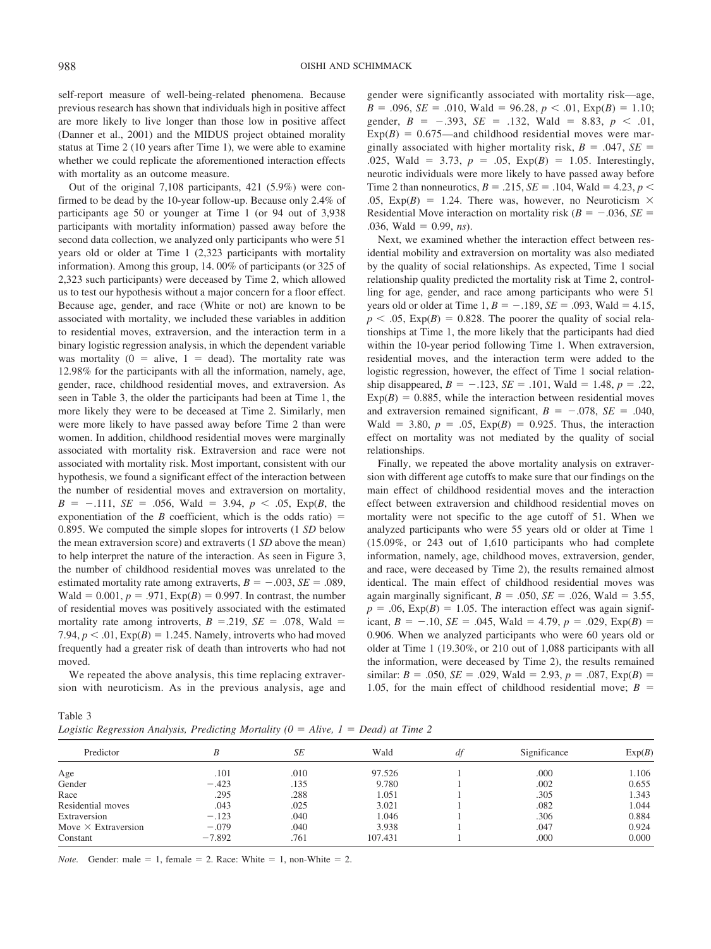self-report measure of well-being-related phenomena. Because previous research has shown that individuals high in positive affect are more likely to live longer than those low in positive affect (Danner et al., 2001) and the MIDUS project obtained morality status at Time 2 (10 years after Time 1), we were able to examine whether we could replicate the aforementioned interaction effects with mortality as an outcome measure.

Out of the original 7,108 participants, 421 (5.9%) were confirmed to be dead by the 10-year follow-up. Because only 2.4% of participants age 50 or younger at Time 1 (or 94 out of 3,938 participants with mortality information) passed away before the second data collection, we analyzed only participants who were 51 years old or older at Time 1 (2,323 participants with mortality information). Among this group, 14. 00% of participants (or 325 of 2,323 such participants) were deceased by Time 2, which allowed us to test our hypothesis without a major concern for a floor effect. Because age, gender, and race (White or not) are known to be associated with mortality, we included these variables in addition to residential moves, extraversion, and the interaction term in a binary logistic regression analysis, in which the dependent variable was mortality  $(0 =$  alive,  $1 =$  dead). The mortality rate was 12.98% for the participants with all the information, namely, age, gender, race, childhood residential moves, and extraversion. As seen in Table 3, the older the participants had been at Time 1, the more likely they were to be deceased at Time 2. Similarly, men were more likely to have passed away before Time 2 than were women. In addition, childhood residential moves were marginally associated with mortality risk. Extraversion and race were not associated with mortality risk. Most important, consistent with our hypothesis, we found a significant effect of the interaction between the number of residential moves and extraversion on mortality,  $B = -0.111$ ,  $SE = 0.056$ , Wald = 3.94,  $p < 0.05$ , Exp(*B*, the exponentiation of the *B* coefficient, which is the odds ratio)  $=$ 0.895. We computed the simple slopes for introverts (1 *SD* below the mean extraversion score) and extraverts (1 *SD* above the mean) to help interpret the nature of the interaction. As seen in Figure 3, the number of childhood residential moves was unrelated to the estimated mortality rate among extraverts,  $B = -.003$ ,  $SE = .089$ ,  $Wald = 0.001, p = .971, Exp(B) = 0.997.$  In contrast, the number of residential moves was positively associated with the estimated mortality rate among introverts,  $B = .219$ ,  $SE = .078$ , Wald = 7.94,  $p < .01$ ,  $Exp(B) = 1.245$ . Namely, introverts who had moved frequently had a greater risk of death than introverts who had not moved.

We repeated the above analysis, this time replacing extraversion with neuroticism. As in the previous analysis, age and

Table 3

gender were significantly associated with mortality risk—age,  $B = .096$ ,  $SE = .010$ , Wald = 96.28,  $p < .01$ , Exp(*B*) = 1.10; gender,  $B = -.393$ ,  $SE = .132$ , Wald = 8.83,  $p < .01$ ,  $Exp(B) = 0.675$ —and childhood residential moves were marginally associated with higher mortality risk,  $B = .047$ ,  $SE =$ .025, Wald = 3.73,  $p = .05$ ,  $Exp(B) = 1.05$ . Interestingly, neurotic individuals were more likely to have passed away before Time 2 than nonneurotics,  $B = .215$ ,  $SE = .104$ , Wald = 4.23,  $p <$ .05,  $Exp(B) = 1.24$ . There was, however, no Neuroticism  $\times$ Residential Move interaction on mortality risk ( $B = -.036$ ,  $SE =$ .036, Wald = 0.99,  $ns$ ).

Next, we examined whether the interaction effect between residential mobility and extraversion on mortality was also mediated by the quality of social relationships. As expected, Time 1 social relationship quality predicted the mortality risk at Time 2, controlling for age, gender, and race among participants who were 51 years old or older at Time  $1, B = -.189, SE = .093, Wald = 4.15,$  $p < .05$ ,  $Exp(B) = 0.828$ . The poorer the quality of social relationships at Time 1, the more likely that the participants had died within the 10-year period following Time 1. When extraversion, residential moves, and the interaction term were added to the logistic regression, however, the effect of Time 1 social relationship disappeared,  $B = -.123$ ,  $SE = .101$ , Wald = 1.48,  $p = .22$ ,  $Exp(B) = 0.885$ , while the interaction between residential moves and extraversion remained significant,  $B = -.078$ ,  $SE = .040$ , Wald = 3.80,  $p = .05$ ,  $Exp(B) = 0.925$ . Thus, the interaction effect on mortality was not mediated by the quality of social relationships.

Finally, we repeated the above mortality analysis on extraversion with different age cutoffs to make sure that our findings on the main effect of childhood residential moves and the interaction effect between extraversion and childhood residential moves on mortality were not specific to the age cutoff of 51. When we analyzed participants who were 55 years old or older at Time 1 (15.09%, or 243 out of 1,610 participants who had complete information, namely, age, childhood moves, extraversion, gender, and race, were deceased by Time 2), the results remained almost identical. The main effect of childhood residential moves was again marginally significant,  $B = .050$ ,  $SE = .026$ , Wald = 3.55,  $p = .06$ ,  $Exp(B) = 1.05$ . The interaction effect was again significant,  $B = -.10$ ,  $SE = .045$ , Wald = 4.79,  $p = .029$ , Exp(*B*) = 0.906. When we analyzed participants who were 60 years old or older at Time 1 (19.30%, or 210 out of 1,088 participants with all the information, were deceased by Time 2), the results remained similar:  $B = .050$ ,  $SE = .029$ , Wald = 2.93,  $p = .087$ ,  $Exp(B) =$ 1.05, for the main effect of childhood residential move;  $B =$ 

| Predictor                  |          | SE   | Wald    | df | Significance | Exp(B) |  |
|----------------------------|----------|------|---------|----|--------------|--------|--|
| Age                        | .101     | .010 | 97.526  |    | .000         | 1.106  |  |
| Gender                     | $-.423$  | .135 | 9.780   |    | .002         | 0.655  |  |
| Race                       | .295     | .288 | 1.051   |    | .305         | 1.343  |  |
| Residential moves          | .043     | .025 | 3.021   |    | .082         | 1.044  |  |
| Extraversion               | $-.123$  | .040 | 1.046   |    | .306         | 0.884  |  |
| Move $\times$ Extraversion | $-.079$  | .040 | 3.938   |    | .047         | 0.924  |  |
| Constant                   | $-7.892$ | .761 | 107.431 |    | .000         | 0.000  |  |
|                            |          |      |         |    |              |        |  |

*Logistic Regression Analysis, Predicting Mortality (* $0 =$  *Alive,*  $1 =$  *Dead) at Time 2* 

*Note.* Gender: male  $= 1$ , female  $= 2$ . Race: White  $= 1$ , non-White  $= 2$ .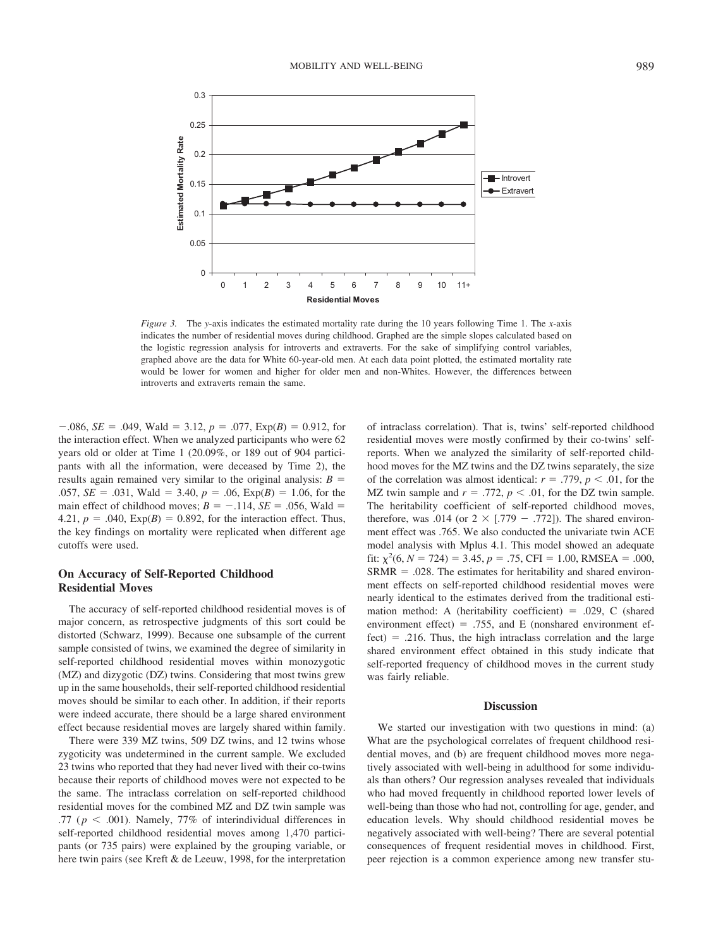

*Figure 3.* The *y*-axis indicates the estimated mortality rate during the 10 years following Time 1. The *x*-axis indicates the number of residential moves during childhood. Graphed are the simple slopes calculated based on the logistic regression analysis for introverts and extraverts. For the sake of simplifying control variables, graphed above are the data for White 60-year-old men. At each data point plotted, the estimated mortality rate would be lower for women and higher for older men and non-Whites. However, the differences between introverts and extraverts remain the same.

 $-0.086$ , *SE* = .049, Wald = 3.12, *p* = .077, Exp(*B*) = 0.912, for the interaction effect. When we analyzed participants who were 62 years old or older at Time 1 (20.09%, or 189 out of 904 participants with all the information, were deceased by Time 2), the results again remained very similar to the original analysis:  $B =$ .057, *SE* = .031, Wald = 3.40,  $p = .06$ ,  $Exp(B) = 1.06$ , for the main effect of childhood moves;  $B = -.114$ ,  $SE = .056$ , Wald = 4.21,  $p = .040$ ,  $Exp(B) = 0.892$ , for the interaction effect. Thus, the key findings on mortality were replicated when different age cutoffs were used.

# **On Accuracy of Self-Reported Childhood Residential Moves**

The accuracy of self-reported childhood residential moves is of major concern, as retrospective judgments of this sort could be distorted (Schwarz, 1999). Because one subsample of the current sample consisted of twins, we examined the degree of similarity in self-reported childhood residential moves within monozygotic (MZ) and dizygotic (DZ) twins. Considering that most twins grew up in the same households, their self-reported childhood residential moves should be similar to each other. In addition, if their reports were indeed accurate, there should be a large shared environment effect because residential moves are largely shared within family.

There were 339 MZ twins, 509 DZ twins, and 12 twins whose zygoticity was undetermined in the current sample. We excluded 23 twins who reported that they had never lived with their co-twins because their reports of childhood moves were not expected to be the same. The intraclass correlation on self-reported childhood residential moves for the combined MZ and DZ twin sample was .77 ( $p < .001$ ). Namely, 77% of interindividual differences in self-reported childhood residential moves among 1,470 participants (or 735 pairs) were explained by the grouping variable, or here twin pairs (see Kreft & de Leeuw, 1998, for the interpretation of intraclass correlation). That is, twins' self-reported childhood residential moves were mostly confirmed by their co-twins' selfreports. When we analyzed the similarity of self-reported childhood moves for the MZ twins and the DZ twins separately, the size of the correlation was almost identical:  $r = .779$ ,  $p < .01$ , for the MZ twin sample and  $r = .772$ ,  $p < .01$ , for the DZ twin sample. The heritability coefficient of self-reported childhood moves, therefore, was  $.014$  (or  $2 \times [.779 - .772]$ ). The shared environment effect was .765. We also conducted the univariate twin ACE model analysis with Mplus 4.1. This model showed an adequate fit:  $\chi^2(6, N = 724) = 3.45, p = .75, CFI = 1.00, RMSEA = .000,$  $SRMR = .028$ . The estimates for heritability and shared environment effects on self-reported childhood residential moves were nearly identical to the estimates derived from the traditional estimation method: A (heritability coefficient) = .029, C (shared environment effect) = .755, and E (nonshared environment ef $fect$ ) = .216. Thus, the high intraclass correlation and the large shared environment effect obtained in this study indicate that self-reported frequency of childhood moves in the current study was fairly reliable.

## **Discussion**

We started our investigation with two questions in mind: (a) What are the psychological correlates of frequent childhood residential moves, and (b) are frequent childhood moves more negatively associated with well-being in adulthood for some individuals than others? Our regression analyses revealed that individuals who had moved frequently in childhood reported lower levels of well-being than those who had not, controlling for age, gender, and education levels. Why should childhood residential moves be negatively associated with well-being? There are several potential consequences of frequent residential moves in childhood. First, peer rejection is a common experience among new transfer stu-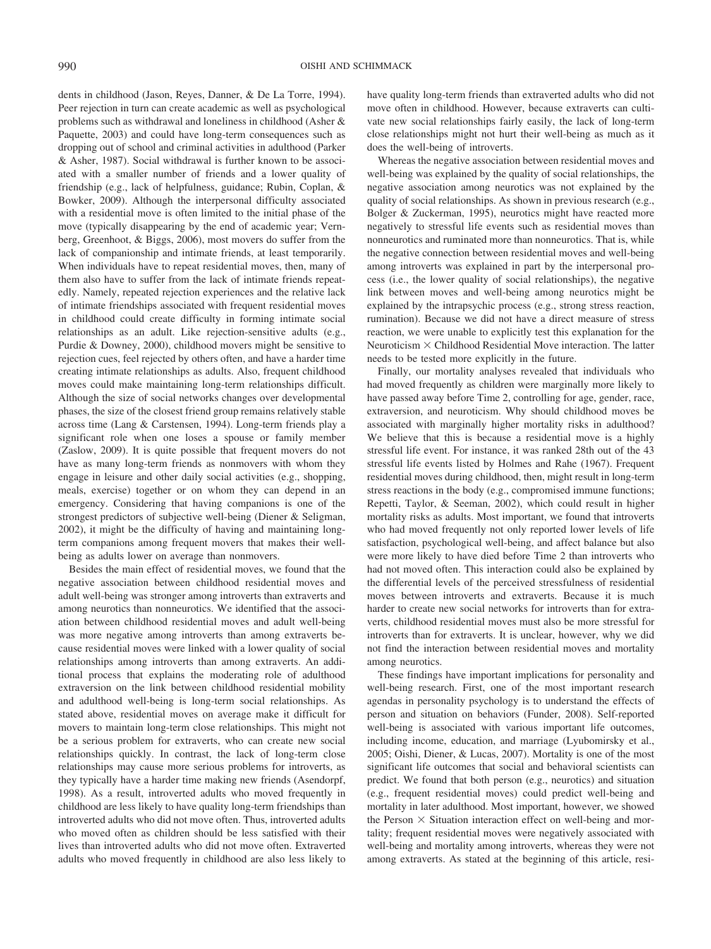dents in childhood (Jason, Reyes, Danner, & De La Torre, 1994). Peer rejection in turn can create academic as well as psychological problems such as withdrawal and loneliness in childhood (Asher & Paquette, 2003) and could have long-term consequences such as dropping out of school and criminal activities in adulthood (Parker & Asher, 1987). Social withdrawal is further known to be associated with a smaller number of friends and a lower quality of friendship (e.g., lack of helpfulness, guidance; Rubin, Coplan, & Bowker, 2009). Although the interpersonal difficulty associated with a residential move is often limited to the initial phase of the move (typically disappearing by the end of academic year; Vernberg, Greenhoot, & Biggs, 2006), most movers do suffer from the lack of companionship and intimate friends, at least temporarily. When individuals have to repeat residential moves, then, many of them also have to suffer from the lack of intimate friends repeatedly. Namely, repeated rejection experiences and the relative lack of intimate friendships associated with frequent residential moves in childhood could create difficulty in forming intimate social relationships as an adult. Like rejection-sensitive adults (e.g., Purdie & Downey, 2000), childhood movers might be sensitive to rejection cues, feel rejected by others often, and have a harder time creating intimate relationships as adults. Also, frequent childhood moves could make maintaining long-term relationships difficult. Although the size of social networks changes over developmental phases, the size of the closest friend group remains relatively stable across time (Lang & Carstensen, 1994). Long-term friends play a significant role when one loses a spouse or family member (Zaslow, 2009). It is quite possible that frequent movers do not have as many long-term friends as nonmovers with whom they engage in leisure and other daily social activities (e.g., shopping, meals, exercise) together or on whom they can depend in an emergency. Considering that having companions is one of the strongest predictors of subjective well-being (Diener & Seligman, 2002), it might be the difficulty of having and maintaining longterm companions among frequent movers that makes their wellbeing as adults lower on average than nonmovers.

Besides the main effect of residential moves, we found that the negative association between childhood residential moves and adult well-being was stronger among introverts than extraverts and among neurotics than nonneurotics. We identified that the association between childhood residential moves and adult well-being was more negative among introverts than among extraverts because residential moves were linked with a lower quality of social relationships among introverts than among extraverts. An additional process that explains the moderating role of adulthood extraversion on the link between childhood residential mobility and adulthood well-being is long-term social relationships. As stated above, residential moves on average make it difficult for movers to maintain long-term close relationships. This might not be a serious problem for extraverts, who can create new social relationships quickly. In contrast, the lack of long-term close relationships may cause more serious problems for introverts, as they typically have a harder time making new friends (Asendorpf, 1998). As a result, introverted adults who moved frequently in childhood are less likely to have quality long-term friendships than introverted adults who did not move often. Thus, introverted adults who moved often as children should be less satisfied with their lives than introverted adults who did not move often. Extraverted adults who moved frequently in childhood are also less likely to

have quality long-term friends than extraverted adults who did not move often in childhood. However, because extraverts can cultivate new social relationships fairly easily, the lack of long-term close relationships might not hurt their well-being as much as it does the well-being of introverts.

Whereas the negative association between residential moves and well-being was explained by the quality of social relationships, the negative association among neurotics was not explained by the quality of social relationships. As shown in previous research (e.g., Bolger & Zuckerman, 1995), neurotics might have reacted more negatively to stressful life events such as residential moves than nonneurotics and ruminated more than nonneurotics. That is, while the negative connection between residential moves and well-being among introverts was explained in part by the interpersonal process (i.e., the lower quality of social relationships), the negative link between moves and well-being among neurotics might be explained by the intrapsychic process (e.g., strong stress reaction, rumination). Because we did not have a direct measure of stress reaction, we were unable to explicitly test this explanation for the Neuroticism  $\times$  Childhood Residential Move interaction. The latter needs to be tested more explicitly in the future.

Finally, our mortality analyses revealed that individuals who had moved frequently as children were marginally more likely to have passed away before Time 2, controlling for age, gender, race, extraversion, and neuroticism. Why should childhood moves be associated with marginally higher mortality risks in adulthood? We believe that this is because a residential move is a highly stressful life event. For instance, it was ranked 28th out of the 43 stressful life events listed by Holmes and Rahe (1967). Frequent residential moves during childhood, then, might result in long-term stress reactions in the body (e.g., compromised immune functions; Repetti, Taylor, & Seeman, 2002), which could result in higher mortality risks as adults. Most important, we found that introverts who had moved frequently not only reported lower levels of life satisfaction, psychological well-being, and affect balance but also were more likely to have died before Time 2 than introverts who had not moved often. This interaction could also be explained by the differential levels of the perceived stressfulness of residential moves between introverts and extraverts. Because it is much harder to create new social networks for introverts than for extraverts, childhood residential moves must also be more stressful for introverts than for extraverts. It is unclear, however, why we did not find the interaction between residential moves and mortality among neurotics.

These findings have important implications for personality and well-being research. First, one of the most important research agendas in personality psychology is to understand the effects of person and situation on behaviors (Funder, 2008). Self-reported well-being is associated with various important life outcomes, including income, education, and marriage (Lyubomirsky et al., 2005; Oishi, Diener, & Lucas, 2007). Mortality is one of the most significant life outcomes that social and behavioral scientists can predict. We found that both person (e.g., neurotics) and situation (e.g., frequent residential moves) could predict well-being and mortality in later adulthood. Most important, however, we showed the Person  $\times$  Situation interaction effect on well-being and mortality; frequent residential moves were negatively associated with well-being and mortality among introverts, whereas they were not among extraverts. As stated at the beginning of this article, resi-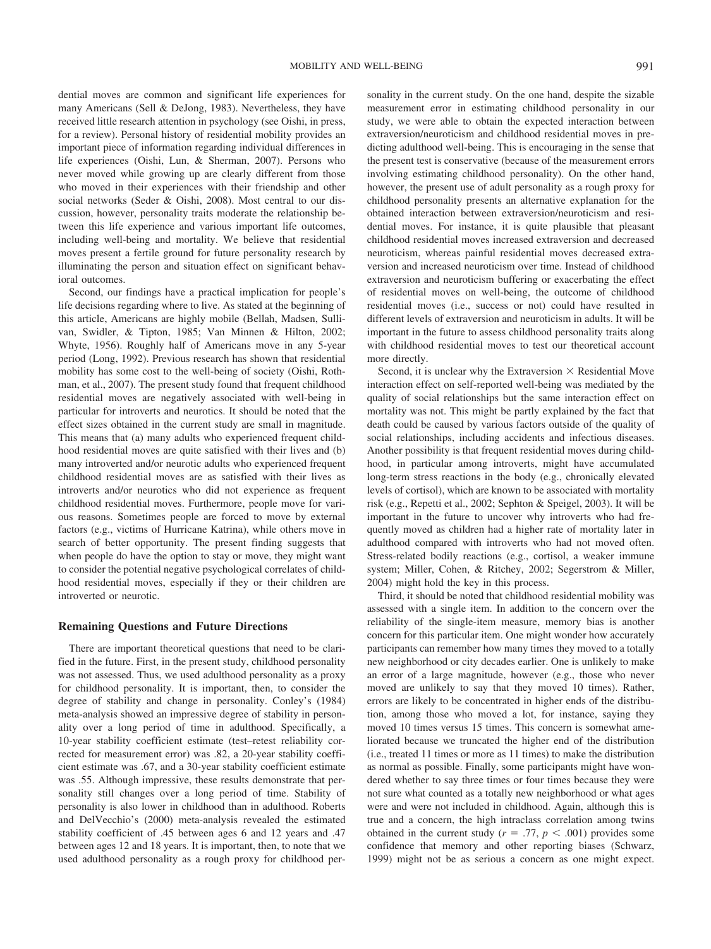dential moves are common and significant life experiences for many Americans (Sell & DeJong, 1983). Nevertheless, they have received little research attention in psychology (see Oishi, in press, for a review). Personal history of residential mobility provides an important piece of information regarding individual differences in life experiences (Oishi, Lun, & Sherman, 2007). Persons who never moved while growing up are clearly different from those who moved in their experiences with their friendship and other social networks (Seder & Oishi, 2008). Most central to our discussion, however, personality traits moderate the relationship between this life experience and various important life outcomes, including well-being and mortality. We believe that residential moves present a fertile ground for future personality research by illuminating the person and situation effect on significant behavioral outcomes.

Second, our findings have a practical implication for people's life decisions regarding where to live. As stated at the beginning of this article, Americans are highly mobile (Bellah, Madsen, Sullivan, Swidler, & Tipton, 1985; Van Minnen & Hilton, 2002; Whyte, 1956). Roughly half of Americans move in any 5-year period (Long, 1992). Previous research has shown that residential mobility has some cost to the well-being of society (Oishi, Rothman, et al., 2007). The present study found that frequent childhood residential moves are negatively associated with well-being in particular for introverts and neurotics. It should be noted that the effect sizes obtained in the current study are small in magnitude. This means that (a) many adults who experienced frequent childhood residential moves are quite satisfied with their lives and (b) many introverted and/or neurotic adults who experienced frequent childhood residential moves are as satisfied with their lives as introverts and/or neurotics who did not experience as frequent childhood residential moves. Furthermore, people move for various reasons. Sometimes people are forced to move by external factors (e.g., victims of Hurricane Katrina), while others move in search of better opportunity. The present finding suggests that when people do have the option to stay or move, they might want to consider the potential negative psychological correlates of childhood residential moves, especially if they or their children are introverted or neurotic.

### **Remaining Questions and Future Directions**

There are important theoretical questions that need to be clarified in the future. First, in the present study, childhood personality was not assessed. Thus, we used adulthood personality as a proxy for childhood personality. It is important, then, to consider the degree of stability and change in personality. Conley's (1984) meta-analysis showed an impressive degree of stability in personality over a long period of time in adulthood. Specifically, a 10-year stability coefficient estimate (test–retest reliability corrected for measurement error) was .82, a 20-year stability coefficient estimate was .67, and a 30-year stability coefficient estimate was .55. Although impressive, these results demonstrate that personality still changes over a long period of time. Stability of personality is also lower in childhood than in adulthood. Roberts and DelVecchio's (2000) meta-analysis revealed the estimated stability coefficient of .45 between ages 6 and 12 years and .47 between ages 12 and 18 years. It is important, then, to note that we used adulthood personality as a rough proxy for childhood personality in the current study. On the one hand, despite the sizable measurement error in estimating childhood personality in our study, we were able to obtain the expected interaction between extraversion/neuroticism and childhood residential moves in predicting adulthood well-being. This is encouraging in the sense that the present test is conservative (because of the measurement errors involving estimating childhood personality). On the other hand, however, the present use of adult personality as a rough proxy for childhood personality presents an alternative explanation for the obtained interaction between extraversion/neuroticism and residential moves. For instance, it is quite plausible that pleasant childhood residential moves increased extraversion and decreased neuroticism, whereas painful residential moves decreased extraversion and increased neuroticism over time. Instead of childhood extraversion and neuroticism buffering or exacerbating the effect of residential moves on well-being, the outcome of childhood residential moves (i.e., success or not) could have resulted in different levels of extraversion and neuroticism in adults. It will be important in the future to assess childhood personality traits along with childhood residential moves to test our theoretical account more directly.

Second, it is unclear why the Extraversion  $\times$  Residential Move interaction effect on self-reported well-being was mediated by the quality of social relationships but the same interaction effect on mortality was not. This might be partly explained by the fact that death could be caused by various factors outside of the quality of social relationships, including accidents and infectious diseases. Another possibility is that frequent residential moves during childhood, in particular among introverts, might have accumulated long-term stress reactions in the body (e.g., chronically elevated levels of cortisol), which are known to be associated with mortality risk (e.g., Repetti et al., 2002; Sephton & Speigel, 2003). It will be important in the future to uncover why introverts who had frequently moved as children had a higher rate of mortality later in adulthood compared with introverts who had not moved often. Stress-related bodily reactions (e.g., cortisol, a weaker immune system; Miller, Cohen, & Ritchey, 2002; Segerstrom & Miller, 2004) might hold the key in this process.

Third, it should be noted that childhood residential mobility was assessed with a single item. In addition to the concern over the reliability of the single-item measure, memory bias is another concern for this particular item. One might wonder how accurately participants can remember how many times they moved to a totally new neighborhood or city decades earlier. One is unlikely to make an error of a large magnitude, however (e.g., those who never moved are unlikely to say that they moved 10 times). Rather, errors are likely to be concentrated in higher ends of the distribution, among those who moved a lot, for instance, saying they moved 10 times versus 15 times. This concern is somewhat ameliorated because we truncated the higher end of the distribution (i.e., treated 11 times or more as 11 times) to make the distribution as normal as possible. Finally, some participants might have wondered whether to say three times or four times because they were not sure what counted as a totally new neighborhood or what ages were and were not included in childhood. Again, although this is true and a concern, the high intraclass correlation among twins obtained in the current study ( $r = .77$ ,  $p < .001$ ) provides some confidence that memory and other reporting biases (Schwarz, 1999) might not be as serious a concern as one might expect.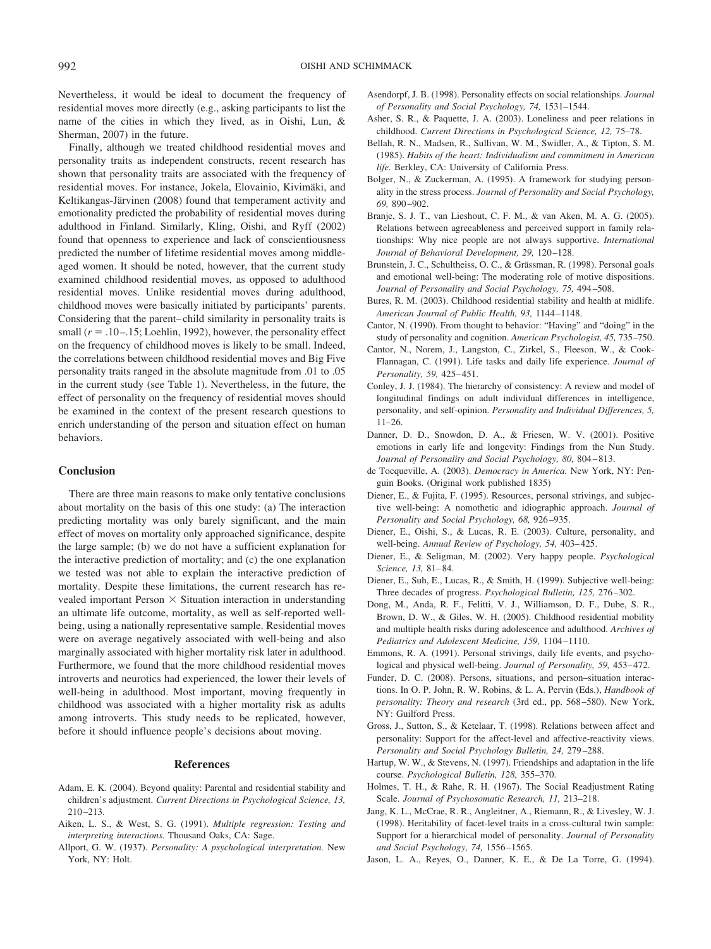Nevertheless, it would be ideal to document the frequency of residential moves more directly (e.g., asking participants to list the name of the cities in which they lived, as in Oishi, Lun, & Sherman, 2007) in the future.

Finally, although we treated childhood residential moves and personality traits as independent constructs, recent research has shown that personality traits are associated with the frequency of residential moves. For instance, Jokela, Elovainio, Kivimäki, and Keltikangas-Järvinen (2008) found that temperament activity and emotionality predicted the probability of residential moves during adulthood in Finland. Similarly, Kling, Oishi, and Ryff (2002) found that openness to experience and lack of conscientiousness predicted the number of lifetime residential moves among middleaged women. It should be noted, however, that the current study examined childhood residential moves, as opposed to adulthood residential moves. Unlike residential moves during adulthood, childhood moves were basically initiated by participants' parents. Considering that the parent– child similarity in personality traits is small  $(r = .10 - .15;$  Loehlin, 1992), however, the personality effect on the frequency of childhood moves is likely to be small. Indeed, the correlations between childhood residential moves and Big Five personality traits ranged in the absolute magnitude from .01 to .05 in the current study (see Table 1). Nevertheless, in the future, the effect of personality on the frequency of residential moves should be examined in the context of the present research questions to enrich understanding of the person and situation effect on human behaviors.

#### **Conclusion**

There are three main reasons to make only tentative conclusions about mortality on the basis of this one study: (a) The interaction predicting mortality was only barely significant, and the main effect of moves on mortality only approached significance, despite the large sample; (b) we do not have a sufficient explanation for the interactive prediction of mortality; and (c) the one explanation we tested was not able to explain the interactive prediction of mortality. Despite these limitations, the current research has revealed important Person  $\times$  Situation interaction in understanding an ultimate life outcome, mortality, as well as self-reported wellbeing, using a nationally representative sample. Residential moves were on average negatively associated with well-being and also marginally associated with higher mortality risk later in adulthood. Furthermore, we found that the more childhood residential moves introverts and neurotics had experienced, the lower their levels of well-being in adulthood. Most important, moving frequently in childhood was associated with a higher mortality risk as adults among introverts. This study needs to be replicated, however, before it should influence people's decisions about moving.

#### **References**

- Adam, E. K. (2004). Beyond quality: Parental and residential stability and children's adjustment. *Current Directions in Psychological Science, 13,* 210 –213.
- Aiken, L. S., & West, S. G. (1991). *Multiple regression: Testing and interpreting interactions.* Thousand Oaks, CA: Sage.
- Allport, G. W. (1937). *Personality: A psychological interpretation.* New York, NY: Holt.
- Asendorpf, J. B. (1998). Personality effects on social relationships. *Journal of Personality and Social Psychology, 74,* 1531–1544.
- Asher, S. R., & Paquette, J. A. (2003). Loneliness and peer relations in childhood. *Current Directions in Psychological Science, 12,* 75–78.
- Bellah, R. N., Madsen, R., Sullivan, W. M., Swidler, A., & Tipton, S. M. (1985). *Habits of the heart: Individualism and commitment in American life.* Berkley, CA: University of California Press.
- Bolger, N., & Zuckerman, A. (1995). A framework for studying personality in the stress process. *Journal of Personality and Social Psychology, 69,* 890 –902.
- Branje, S. J. T., van Lieshout, C. F. M., & van Aken, M. A. G. (2005). Relations between agreeableness and perceived support in family relationships: Why nice people are not always supportive. *International Journal of Behavioral Development, 29,* 120 –128.
- Brunstein, J. C., Schultheiss, O. C., & Grässman, R. (1998). Personal goals and emotional well-being: The moderating role of motive dispositions. *Journal of Personality and Social Psychology, 75,* 494 –508.
- Bures, R. M. (2003). Childhood residential stability and health at midlife. *American Journal of Public Health, 93,* 1144 –1148.
- Cantor, N. (1990). From thought to behavior: "Having" and "doing" in the study of personality and cognition. *American Psychologist, 45,* 735–750.
- Cantor, N., Norem, J., Langston, C., Zirkel, S., Fleeson, W., & Cook-Flannagan, C. (1991). Life tasks and daily life experience. *Journal of Personality, 59,* 425– 451.
- Conley, J. J. (1984). The hierarchy of consistency: A review and model of longitudinal findings on adult individual differences in intelligence, personality, and self-opinion. *Personality and Individual Differences, 5,* 11–26.
- Danner, D. D., Snowdon, D. A., & Friesen, W. V. (2001). Positive emotions in early life and longevity: Findings from the Nun Study. *Journal of Personality and Social Psychology, 80,* 804 – 813.
- de Tocqueville, A. (2003). *Democracy in America.* New York, NY: Penguin Books. (Original work published 1835)
- Diener, E., & Fujita, F. (1995). Resources, personal strivings, and subjective well-being: A nomothetic and idiographic approach. *Journal of Personality and Social Psychology, 68,* 926 –935.
- Diener, E., Oishi, S., & Lucas, R. E. (2003). Culture, personality, and well-being. *Annual Review of Psychology, 54,* 403– 425.
- Diener, E., & Seligman, M. (2002). Very happy people. *Psychological Science, 13,* 81– 84.
- Diener, E., Suh, E., Lucas, R., & Smith, H. (1999). Subjective well-being: Three decades of progress. *Psychological Bulletin, 125,* 276 –302.
- Dong, M., Anda, R. F., Felitti, V. J., Williamson, D. F., Dube, S. R., Brown, D. W., & Giles, W. H. (2005). Childhood residential mobility and multiple health risks during adolescence and adulthood. *Archives of Pediatrics and Adolescent Medicine, 159,* 1104 –1110.
- Emmons, R. A. (1991). Personal strivings, daily life events, and psychological and physical well-being. *Journal of Personality, 59, 453-472*.
- Funder, D. C. (2008). Persons, situations, and person–situation interactions. In O. P. John, R. W. Robins, & L. A. Pervin (Eds.), *Handbook of personality: Theory and research* (3rd ed., pp. 568 –580). New York, NY: Guilford Press.
- Gross, J., Sutton, S., & Ketelaar, T. (1998). Relations between affect and personality: Support for the affect-level and affective-reactivity views. *Personality and Social Psychology Bulletin, 24,* 279 –288.
- Hartup, W. W., & Stevens, N. (1997). Friendships and adaptation in the life course. *Psychological Bulletin, 128,* 355–370.
- Holmes, T. H., & Rahe, R. H. (1967). The Social Readjustment Rating Scale. *Journal of Psychosomatic Research, 11,* 213–218.
- Jang, K. L., McCrae, R. R., Angleitner, A., Riemann, R., & Livesley, W. J. (1998). Heritability of facet-level traits in a cross-cultural twin sample: Support for a hierarchical model of personality. *Journal of Personality and Social Psychology, 74,* 1556 –1565.
- Jason, L. A., Reyes, O., Danner, K. E., & De La Torre, G. (1994).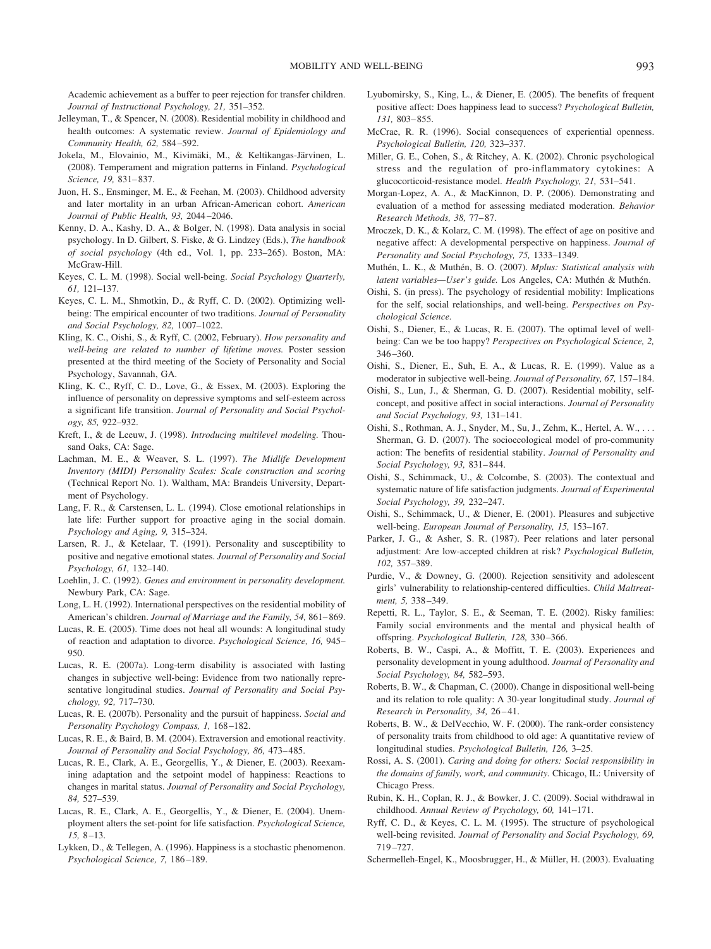Academic achievement as a buffer to peer rejection for transfer children. *Journal of Instructional Psychology, 21,* 351–352.

- Jelleyman, T., & Spencer, N. (2008). Residential mobility in childhood and health outcomes: A systematic review. *Journal of Epidemiology and Community Health, 62,* 584 –592.
- Jokela, M., Elovainio, M., Kivimäki, M., & Keltikangas-Järvinen, L. (2008). Temperament and migration patterns in Finland. *Psychological Science, 19,* 831– 837.
- Juon, H. S., Ensminger, M. E., & Feehan, M. (2003). Childhood adversity and later mortality in an urban African-American cohort. *American Journal of Public Health, 93,* 2044 –2046.
- Kenny, D. A., Kashy, D. A., & Bolger, N. (1998). Data analysis in social psychology. In D. Gilbert, S. Fiske, & G. Lindzey (Eds.), *The handbook of social psychology* (4th ed., Vol. 1, pp. 233–265). Boston, MA: McGraw-Hill.
- Keyes, C. L. M. (1998). Social well-being. *Social Psychology Quarterly, 61,* 121–137.
- Keyes, C. L. M., Shmotkin, D., & Ryff, C. D. (2002). Optimizing wellbeing: The empirical encounter of two traditions. *Journal of Personality and Social Psychology, 82,* 1007–1022.
- Kling, K. C., Oishi, S., & Ryff, C. (2002, February). *How personality and well-being are related to number of lifetime moves.* Poster session presented at the third meeting of the Society of Personality and Social Psychology, Savannah, GA.
- Kling, K. C., Ryff, C. D., Love, G., & Essex, M. (2003). Exploring the influence of personality on depressive symptoms and self-esteem across a significant life transition. *Journal of Personality and Social Psychology, 85,* 922–932.
- Kreft, I., & de Leeuw, J. (1998). *Introducing multilevel modeling.* Thousand Oaks, CA: Sage.
- Lachman, M. E., & Weaver, S. L. (1997). *The Midlife Development Inventory (MIDI) Personality Scales: Scale construction and scoring* (Technical Report No. 1). Waltham, MA: Brandeis University, Department of Psychology.
- Lang, F. R., & Carstensen, L. L. (1994). Close emotional relationships in late life: Further support for proactive aging in the social domain. *Psychology and Aging, 9,* 315–324.
- Larsen, R. J., & Ketelaar, T. (1991). Personality and susceptibility to positive and negative emotional states. *Journal of Personality and Social Psychology, 61,* 132–140.
- Loehlin, J. C. (1992). *Genes and environment in personality development.* Newbury Park, CA: Sage.
- Long, L. H. (1992). International perspectives on the residential mobility of American's children. *Journal of Marriage and the Family, 54,* 861– 869.
- Lucas, R. E. (2005). Time does not heal all wounds: A longitudinal study of reaction and adaptation to divorce. *Psychological Science, 16,* 945– 950.
- Lucas, R. E. (2007a). Long-term disability is associated with lasting changes in subjective well-being: Evidence from two nationally representative longitudinal studies. *Journal of Personality and Social Psychology, 92,* 717–730.
- Lucas, R. E. (2007b). Personality and the pursuit of happiness. *Social and Personality Psychology Compass, 1,* 168 –182.
- Lucas, R. E., & Baird, B. M. (2004). Extraversion and emotional reactivity. *Journal of Personality and Social Psychology, 86,* 473– 485.
- Lucas, R. E., Clark, A. E., Georgellis, Y., & Diener, E. (2003). Reexamining adaptation and the setpoint model of happiness: Reactions to changes in marital status. *Journal of Personality and Social Psychology, 84,* 527–539.
- Lucas, R. E., Clark, A. E., Georgellis, Y., & Diener, E. (2004). Unemployment alters the set-point for life satisfaction. *Psychological Science, 15,* 8 –13.
- Lykken, D., & Tellegen, A. (1996). Happiness is a stochastic phenomenon. *Psychological Science, 7,* 186 –189.
- Lyubomirsky, S., King, L., & Diener, E. (2005). The benefits of frequent positive affect: Does happiness lead to success? *Psychological Bulletin, 131,* 803– 855.
- McCrae, R. R. (1996). Social consequences of experiential openness. *Psychological Bulletin, 120,* 323–337.
- Miller, G. E., Cohen, S., & Ritchey, A. K. (2002). Chronic psychological stress and the regulation of pro-inflammatory cytokines: A glucocorticoid-resistance model. *Health Psychology, 21,* 531–541.
- Morgan-Lopez, A. A., & MacKinnon, D. P. (2006). Demonstrating and evaluation of a method for assessing mediated moderation. *Behavior Research Methods, 38,* 77– 87.
- Mroczek, D. K., & Kolarz, C. M. (1998). The effect of age on positive and negative affect: A developmental perspective on happiness. *Journal of Personality and Social Psychology, 75,* 1333–1349.
- Muthe´n, L. K., & Muthe´n, B. O. (2007). *Mplus: Statistical analysis with latent variables—User's guide*. Los Angeles, CA: Muthén & Muthén.
- Oishi, S. (in press). The psychology of residential mobility: Implications for the self, social relationships, and well-being. *Perspectives on Psychological Science.*
- Oishi, S., Diener, E., & Lucas, R. E. (2007). The optimal level of wellbeing: Can we be too happy? *Perspectives on Psychological Science, 2,* 346 –360.
- Oishi, S., Diener, E., Suh, E. A., & Lucas, R. E. (1999). Value as a moderator in subjective well-being. *Journal of Personality, 67,* 157–184.
- Oishi, S., Lun, J., & Sherman, G. D. (2007). Residential mobility, selfconcept, and positive affect in social interactions. *Journal of Personality and Social Psychology, 93,* 131–141.
- Oishi, S., Rothman, A. J., Snyder, M., Su, J., Zehm, K., Hertel, A. W., . . . Sherman, G. D. (2007). The socioecological model of pro-community action: The benefits of residential stability. *Journal of Personality and Social Psychology, 93,* 831– 844.
- Oishi, S., Schimmack, U., & Colcombe, S. (2003). The contextual and systematic nature of life satisfaction judgments. *Journal of Experimental Social Psychology, 39,* 232–247.
- Oishi, S., Schimmack, U., & Diener, E. (2001). Pleasures and subjective well-being. *European Journal of Personality, 15,* 153–167.
- Parker, J. G., & Asher, S. R. (1987). Peer relations and later personal adjustment: Are low-accepted children at risk? *Psychological Bulletin, 102,* 357–389.
- Purdie, V., & Downey, G. (2000). Rejection sensitivity and adolescent girls' vulnerability to relationship-centered difficulties. *Child Maltreatment, 5,* 338 –349.
- Repetti, R. L., Taylor, S. E., & Seeman, T. E. (2002). Risky families: Family social environments and the mental and physical health of offspring. *Psychological Bulletin, 128,* 330 –366.
- Roberts, B. W., Caspi, A., & Moffitt, T. E. (2003). Experiences and personality development in young adulthood. *Journal of Personality and Social Psychology, 84,* 582–593.
- Roberts, B. W., & Chapman, C. (2000). Change in dispositional well-being and its relation to role quality: A 30-year longitudinal study. *Journal of Research in Personality, 34,* 26 – 41.
- Roberts, B. W., & DelVecchio, W. F. (2000). The rank-order consistency of personality traits from childhood to old age: A quantitative review of longitudinal studies. *Psychological Bulletin, 126,* 3–25.
- Rossi, A. S. (2001). *Caring and doing for others: Social responsibility in the domains of family, work, and community.* Chicago, IL: University of Chicago Press.
- Rubin, K. H., Coplan, R. J., & Bowker, J. C. (2009). Social withdrawal in childhood. *Annual Review of Psychology, 60,* 141–171.
- Ryff, C. D., & Keyes, C. L. M. (1995). The structure of psychological well-being revisited. *Journal of Personality and Social Psychology, 69,* 719 –727.
- Schermelleh-Engel, K., Moosbrugger, H., & Müller, H. (2003). Evaluating